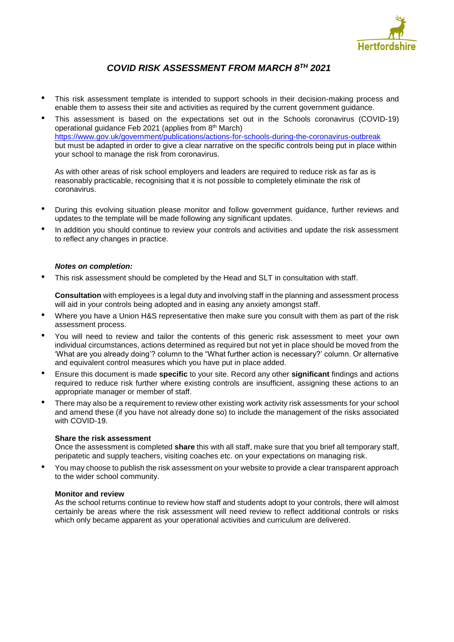

# *COVID RISK ASSESSMENT FROM MARCH 8TH 2021*

- This risk assessment template is intended to support schools in their decision-making process and enable them to assess their site and activities as required by the current government guidance.
- This assessment is based on the expectations set out in the Schools coronavirus (COVID-19) operational guidance Feb 2021 (applies from 8<sup>th</sup> March) <https://www.gov.uk/government/publications/actions-for-schools-during-the-coronavirus-outbreak> but must be adapted in order to give a clear narrative on the specific controls being put in place within your school to manage the risk from coronavirus.

As with other areas of risk school employers and leaders are required to reduce risk as far as is reasonably practicable, recognising that it is not possible to completely eliminate the risk of coronavirus.

- During this evolving situation please monitor and follow government guidance, further reviews and updates to the template will be made following any significant updates.
- In addition you should continue to review your controls and activities and update the risk assessment to reflect any changes in practice.

## *Notes on completion:*

• This risk assessment should be completed by the Head and SLT in consultation with staff.

**Consultation** with employees is a legal duty and involving staff in the planning and assessment process will aid in your controls being adopted and in easing any anxiety amongst staff.

- Where you have a Union H&S representative then make sure you consult with them as part of the risk assessment process.
- You will need to review and tailor the contents of this generic risk assessment to meet your own individual circumstances, actions determined as required but not yet in place should be moved from the 'What are you already doing'? column to the "What further action is necessary?' column. Or alternative and equivalent control measures which you have put in place added.
- Ensure this document is made **specific** to your site. Record any other **significant** findings and actions required to reduce risk further where existing controls are insufficient, assigning these actions to an appropriate manager or member of staff.
- There may also be a requirement to review other existing work activity risk assessments for your school and amend these (if you have not already done so) to include the management of the risks associated with COVID-19.

#### **Share the risk assessment**

Once the assessment is completed **share** this with all staff, make sure that you brief all temporary staff, peripatetic and supply teachers, visiting coaches etc. on your expectations on managing risk.

• You may choose to publish the risk assessment on your website to provide a clear transparent approach to the wider school community.

#### **Monitor and review**

As the school returns continue to review how staff and students adopt to your controls, there will almost certainly be areas where the risk assessment will need review to reflect additional controls or risks which only became apparent as your operational activities and curriculum are delivered.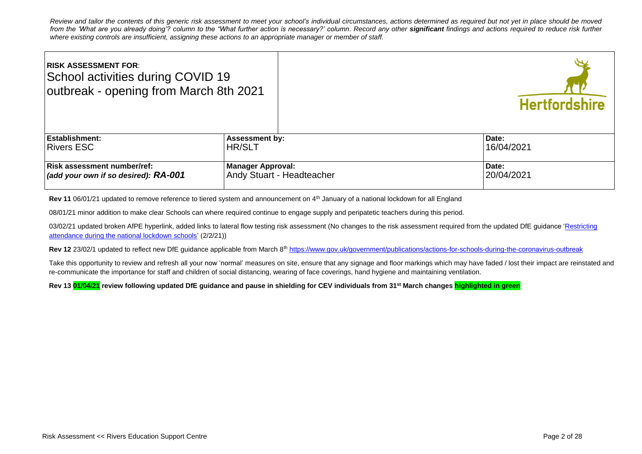*Review and tailor the contents of this generic risk assessment to meet your school's individual circumstances, actions determined as required but not yet in place should be moved*  from the 'What are you already doing'? column to the "What further action is necessary?' column. Record any other **significant** findings and actions required to reduce risk further *where existing controls are insufficient, assigning these actions to an appropriate manager or member of staff.* 

| <b>RISK ASSESSMENT FOR:</b><br>School activities during COVID 19<br>outbreak - opening from March 8th 2021 |                           | <b>Hertfordshire</b> |
|------------------------------------------------------------------------------------------------------------|---------------------------|----------------------|
| <b>Establishment:</b>                                                                                      | <b>Assessment by:</b>     | Date:                |
| <b>Rivers ESC</b>                                                                                          | <b>HR/SLT</b>             | 16/04/2021           |
| Risk assessment number/ref:                                                                                | <b>Manager Approval:</b>  | Date:                |
| (add your own if so desired): $RA$ -001                                                                    | Andy Stuart - Headteacher | 20/04/2021           |

**Rev 11** 06/01/21 updated to remove reference to tiered system and announcement on 4<sup>th</sup> January of a national lockdown for all England

08/01/21 minor addition to make clear Schools can where required continue to engage supply and peripatetic teachers during this period.

03/02/21 updated broken AfPE hyperlink, added links to lateral flow testing risk assessment (No changes to the risk assessment required from the updated DfE quidance 'Restricting [attendance during the national lockdown schools'](https://assets.publishing.service.gov.uk/government/uploads/system/uploads/attachment_data/file/957766/Restricting_attendance_during_the_national_lockdown-_schools.pdf) (2/2/21))

Rev 12 23/02/1 updated to reflect new DfE guidance applicable from March 8<sup>th</sup> <https://www.gov.uk/government/publications/actions-for-schools-during-the-coronavirus-outbreak>

Take this opportunity to review and refresh all your now 'normal' measures on site, ensure that any signage and floor markings which may have faded / lost their impact are reinstated and re-communicate the importance for staff and children of social distancing, wearing of face coverings, hand hygiene and maintaining ventilation.

**Rev 13 01/04/21 review following updated DfE guidance and pause in shielding for CEV individuals from 31st March changes highlighted in green**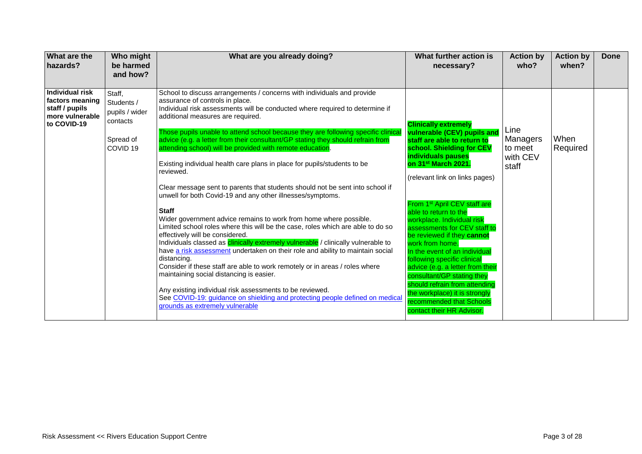| <b>What are the</b><br>hazards?                                                               | Who might<br>be harmed<br>and how?                 | What are you already doing?                                                                                                                                                                                                                                                                                                                                                                                                                                                                                                                                                                                                                                                    | What further action is<br>necessary?                                                                                                                                                                                                                                                                               | <b>Action by</b><br>who?                 | <b>Action by</b><br>when? | Done |
|-----------------------------------------------------------------------------------------------|----------------------------------------------------|--------------------------------------------------------------------------------------------------------------------------------------------------------------------------------------------------------------------------------------------------------------------------------------------------------------------------------------------------------------------------------------------------------------------------------------------------------------------------------------------------------------------------------------------------------------------------------------------------------------------------------------------------------------------------------|--------------------------------------------------------------------------------------------------------------------------------------------------------------------------------------------------------------------------------------------------------------------------------------------------------------------|------------------------------------------|---------------------------|------|
| <b>Individual risk</b><br>factors meaning<br>staff / pupils<br>more vulnerable<br>to COVID-19 | Staff,<br>Students /<br>pupils / wider<br>contacts | School to discuss arrangements / concerns with individuals and provide<br>assurance of controls in place.<br>Individual risk assessments will be conducted where required to determine if<br>additional measures are required.<br>Those pupils unable to attend school because they are following specific clinical                                                                                                                                                                                                                                                                                                                                                            | <b>Clinically extremely</b>                                                                                                                                                                                                                                                                                        | Line                                     |                           |      |
|                                                                                               | Spread of<br>COVID <sub>19</sub>                   | advice (e.g. a letter from their consultant/GP stating they should refrain from<br>attending school) will be provided with remote education.<br>Existing individual health care plans in place for pupils/students to be<br>reviewed.                                                                                                                                                                                                                                                                                                                                                                                                                                          | vulnerable (CEV) pupils and<br>staff are able to return to<br>school. Shielding for CEV<br>individuals pauses<br>on 31st March 2021.<br>(relevant link on links pages)                                                                                                                                             | Managers<br>to meet<br>with CEV<br>staff | When<br>Required          |      |
|                                                                                               |                                                    | Clear message sent to parents that students should not be sent into school if<br>unwell for both Covid-19 and any other illnesses/symptoms.<br><b>Staff</b><br>Wider government advice remains to work from home where possible.<br>Limited school roles where this will be the case, roles which are able to do so<br>effectively will be considered.<br>Individuals classed as <i>clinically extremely vulnerable / clinically vulnerable to</i><br>have a risk assessment undertaken on their role and ability to maintain social<br>distancing.<br>Consider if these staff are able to work remotely or in areas / roles where<br>maintaining social distancing is easier. | From 1 <sup>st</sup> April CEV staff are<br>able to return to the<br>workplace. Individual risk<br>assessments for CEV staff to<br>be reviewed if they cannot<br>work from home.<br>In the event of an individual<br>following specific clinical<br>advice (e.g. a letter from their<br>consultant/GP stating they |                                          |                           |      |
|                                                                                               |                                                    | Any existing individual risk assessments to be reviewed.<br>See COVID-19: guidance on shielding and protecting people defined on medical<br>grounds as extremely vulnerable                                                                                                                                                                                                                                                                                                                                                                                                                                                                                                    | should refrain from attending<br>the workplace) it is strongly<br>recommended that Schools<br>contact their HR Advisor.                                                                                                                                                                                            |                                          |                           |      |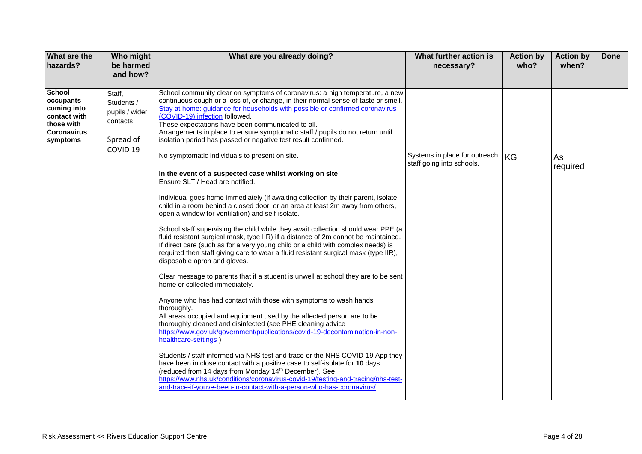| What are the<br>hazards?                                                                                  | Who might<br>be harmed<br>and how?                                                     | What are you already doing?                                                                                                                                                                                                                                                                                                                                                                                                                                                                                                                                                                                                                                                                                                                                                                                                                                                                                                                                                                                                                                                                                                                                                                                                                                                                                                                                                                                                                                                                                                                                                                                                                                                                                                                                                                                                                                                                                                                                                                                                                                                                                                  | What further action is<br>necessary?                       | <b>Action by</b><br>who? | <b>Action by</b><br>when? | Done |
|-----------------------------------------------------------------------------------------------------------|----------------------------------------------------------------------------------------|------------------------------------------------------------------------------------------------------------------------------------------------------------------------------------------------------------------------------------------------------------------------------------------------------------------------------------------------------------------------------------------------------------------------------------------------------------------------------------------------------------------------------------------------------------------------------------------------------------------------------------------------------------------------------------------------------------------------------------------------------------------------------------------------------------------------------------------------------------------------------------------------------------------------------------------------------------------------------------------------------------------------------------------------------------------------------------------------------------------------------------------------------------------------------------------------------------------------------------------------------------------------------------------------------------------------------------------------------------------------------------------------------------------------------------------------------------------------------------------------------------------------------------------------------------------------------------------------------------------------------------------------------------------------------------------------------------------------------------------------------------------------------------------------------------------------------------------------------------------------------------------------------------------------------------------------------------------------------------------------------------------------------------------------------------------------------------------------------------------------------|------------------------------------------------------------|--------------------------|---------------------------|------|
| <b>School</b><br>occupants<br>coming into<br>contact with<br>those with<br><b>Coronavirus</b><br>symptoms | Staff,<br>Students /<br>pupils / wider<br>contacts<br>Spread of<br>COVID <sub>19</sub> | School community clear on symptoms of coronavirus: a high temperature, a new<br>continuous cough or a loss of, or change, in their normal sense of taste or smell.<br>Stay at home: guidance for households with possible or confirmed coronavirus<br>(COVID-19) infection followed.<br>These expectations have been communicated to all.<br>Arrangements in place to ensure symptomatic staff / pupils do not return until<br>isolation period has passed or negative test result confirmed.<br>No symptomatic individuals to present on site.<br>In the event of a suspected case whilst working on site<br>Ensure SLT / Head are notified.<br>Individual goes home immediately (if awaiting collection by their parent, isolate<br>child in a room behind a closed door, or an area at least 2m away from others,<br>open a window for ventilation) and self-isolate.<br>School staff supervising the child while they await collection should wear PPE (a<br>fluid resistant surgical mask, type IIR) if a distance of 2m cannot be maintained.<br>If direct care (such as for a very young child or a child with complex needs) is<br>required then staff giving care to wear a fluid resistant surgical mask (type IIR),<br>disposable apron and gloves.<br>Clear message to parents that if a student is unwell at school they are to be sent<br>home or collected immediately.<br>Anyone who has had contact with those with symptoms to wash hands<br>thoroughly.<br>All areas occupied and equipment used by the affected person are to be<br>thoroughly cleaned and disinfected (see PHE cleaning advice<br>https://www.gov.uk/government/publications/covid-19-decontamination-in-non-<br>healthcare-settings)<br>Students / staff informed via NHS test and trace or the NHS COVID-19 App they<br>have been in close contact with a positive case to self-isolate for 10 days<br>(reduced from 14 days from Monday 14 <sup>th</sup> December). See<br>https://www.nhs.uk/conditions/coronavirus-covid-19/testing-and-tracing/nhs-test-<br>and-trace-if-youve-been-in-contact-with-a-person-who-has-coronavirus/ | Systems in place for outreach<br>staff going into schools. | <b>KG</b>                | As<br>required            |      |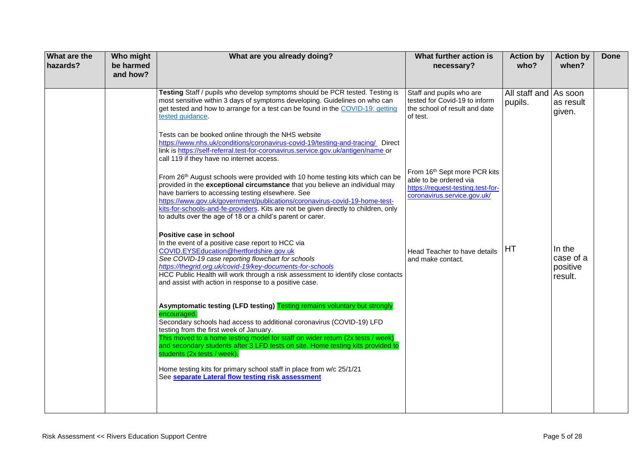| What are the<br>hazards? | Who might<br>be harmed<br>and how? | What are you already doing?                                                                                                                                                                                                                                                                                                                                                                                                                          | What further action is<br>necessary?                                                                                       | <b>Action by</b><br>who?         | <b>Action by</b><br>when?                  | <b>Done</b> |
|--------------------------|------------------------------------|------------------------------------------------------------------------------------------------------------------------------------------------------------------------------------------------------------------------------------------------------------------------------------------------------------------------------------------------------------------------------------------------------------------------------------------------------|----------------------------------------------------------------------------------------------------------------------------|----------------------------------|--------------------------------------------|-------------|
|                          |                                    | Testing Staff / pupils who develop symptoms should be PCR tested. Testing is<br>most sensitive within 3 days of symptoms developing. Guidelines on who can<br>get tested and how to arrange for a test can be found in the COVID-19: getting<br>tested guidance.                                                                                                                                                                                     | Staff and pupils who are<br>tested for Covid-19 to inform<br>the school of result and date<br>of test.                     | All staff and As soon<br>pupils. | as result<br>given.                        |             |
|                          |                                    | Tests can be booked online through the NHS website<br>https://www.nhs.uk/conditions/coronavirus-covid-19/testing-and-tracing/ Direct<br>link is https://self-referral.test-for-coronavirus.service.gov.uk/antigen/name or<br>call 119 if they have no internet access.                                                                                                                                                                               |                                                                                                                            |                                  |                                            |             |
|                          |                                    | From 26th August schools were provided with 10 home testing kits which can be<br>provided in the exceptional circumstance that you believe an individual may<br>have barriers to accessing testing elsewhere. See<br>https://www.gov.uk/government/publications/coronavirus-covid-19-home-test-<br>kits-for-schools-and-fe-providers. Kits are not be given directly to children, only<br>to adults over the age of 18 or a child's parent or carer. | From 16th Sept more PCR kits<br>able to be ordered via<br>https://request-testing.test-for-<br>coronavirus.service.gov.uk/ |                                  |                                            |             |
|                          |                                    | Positive case in school<br>In the event of a positive case report to HCC via<br>COVID.EYSEducation@hertfordshire.gov.uk<br>See COVID-19 case reporting flowchart for schools<br>https://thegrid.org.uk/covid-19/key-documents-for-schools<br>HCC Public Health will work through a risk assessment to identify close contacts<br>and assist with action in response to a positive case.                                                              | Head Teacher to have details<br>and make contact.                                                                          | HT                               | In the<br>case of a<br>positive<br>result. |             |
|                          |                                    | Asymptomatic testing (LFD testing) Testing remains voluntary but strongly<br>encouraged.<br>Secondary schools had access to additional coronavirus (COVID-19) LFD<br>testing from the first week of January.<br>This moved to a home testing model for staff on wider return (2x tests / week)<br>and secondary students after 3 LFD tests on site. Home testing kits provided to<br>students (2x tests / week).                                     |                                                                                                                            |                                  |                                            |             |
|                          |                                    | Home testing kits for primary school staff in place from w/c 25/1/21<br>See separate Lateral flow testing risk assessment                                                                                                                                                                                                                                                                                                                            |                                                                                                                            |                                  |                                            |             |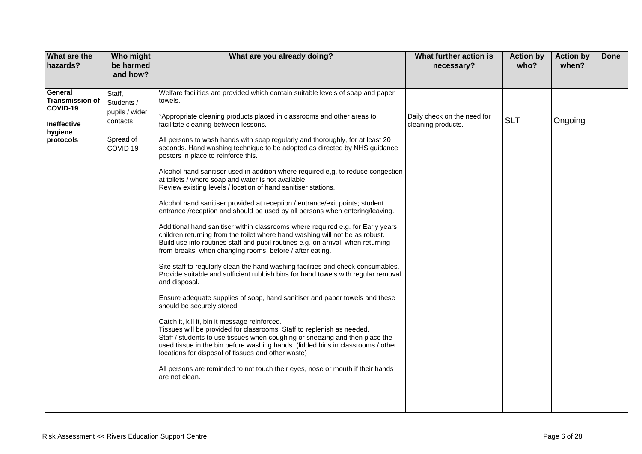| What are the<br>hazards?                                                             | Who might<br>be harmed<br>and how?                                                     | What are you already doing?                                                                                                                                                                                                                                                                                                                                                                                                                                                                                                                                                                                                                                                                                                                                                                                                                                                                                                                                                                                                                                                                                                                                                                                                                                                                                                                                                                                                                                                                                                                                                                                                                                                                                                                                                                                                                                                     | What further action is<br>necessary?              | <b>Action by</b><br>who? | <b>Action by</b><br>when? | <b>Done</b> |
|--------------------------------------------------------------------------------------|----------------------------------------------------------------------------------------|---------------------------------------------------------------------------------------------------------------------------------------------------------------------------------------------------------------------------------------------------------------------------------------------------------------------------------------------------------------------------------------------------------------------------------------------------------------------------------------------------------------------------------------------------------------------------------------------------------------------------------------------------------------------------------------------------------------------------------------------------------------------------------------------------------------------------------------------------------------------------------------------------------------------------------------------------------------------------------------------------------------------------------------------------------------------------------------------------------------------------------------------------------------------------------------------------------------------------------------------------------------------------------------------------------------------------------------------------------------------------------------------------------------------------------------------------------------------------------------------------------------------------------------------------------------------------------------------------------------------------------------------------------------------------------------------------------------------------------------------------------------------------------------------------------------------------------------------------------------------------------|---------------------------------------------------|--------------------------|---------------------------|-------------|
| General<br><b>Transmission of</b><br>COVID-19<br>Ineffective<br>hygiene<br>protocols | Staff,<br>Students /<br>pupils / wider<br>contacts<br>Spread of<br>COVID <sub>19</sub> | Welfare facilities are provided which contain suitable levels of soap and paper<br>towels.<br>*Appropriate cleaning products placed in classrooms and other areas to<br>facilitate cleaning between lessons.<br>All persons to wash hands with soap regularly and thoroughly, for at least 20<br>seconds. Hand washing technique to be adopted as directed by NHS guidance<br>posters in place to reinforce this.<br>Alcohol hand sanitiser used in addition where required e,g, to reduce congestion<br>at toilets / where soap and water is not available.<br>Review existing levels / location of hand sanitiser stations.<br>Alcohol hand sanitiser provided at reception / entrance/exit points; student<br>entrance /reception and should be used by all persons when entering/leaving.<br>Additional hand sanitiser within classrooms where required e.g. for Early years<br>children returning from the toilet where hand washing will not be as robust.<br>Build use into routines staff and pupil routines e.g. on arrival, when returning<br>from breaks, when changing rooms, before / after eating.<br>Site staff to regularly clean the hand washing facilities and check consumables.<br>Provide suitable and sufficient rubbish bins for hand towels with regular removal<br>and disposal.<br>Ensure adequate supplies of soap, hand sanitiser and paper towels and these<br>should be securely stored.<br>Catch it, kill it, bin it message reinforced.<br>Tissues will be provided for classrooms. Staff to replenish as needed.<br>Staff / students to use tissues when coughing or sneezing and then place the<br>used tissue in the bin before washing hands. (lidded bins in classrooms / other<br>locations for disposal of tissues and other waste)<br>All persons are reminded to not touch their eyes, nose or mouth if their hands<br>are not clean. | Daily check on the need for<br>cleaning products. | <b>SLT</b>               | Ongoing                   |             |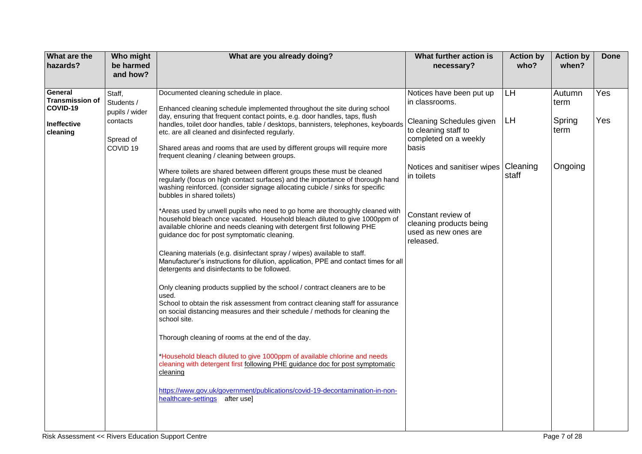| What are the<br>hazards?                                                 | Who might<br>be harmed<br>and how?                                                     | What are you already doing?                                                                                                                                                                                                                                                                                                                                                                                                                                                                                                                                                                                                                                                                                                                                                                                                                                                                                                                                                                                                                            | What further action is<br>necessary?                                                                                                                                          | <b>Action by</b><br>who?       | <b>Action by</b><br>when?                   | <b>Done</b> |
|--------------------------------------------------------------------------|----------------------------------------------------------------------------------------|--------------------------------------------------------------------------------------------------------------------------------------------------------------------------------------------------------------------------------------------------------------------------------------------------------------------------------------------------------------------------------------------------------------------------------------------------------------------------------------------------------------------------------------------------------------------------------------------------------------------------------------------------------------------------------------------------------------------------------------------------------------------------------------------------------------------------------------------------------------------------------------------------------------------------------------------------------------------------------------------------------------------------------------------------------|-------------------------------------------------------------------------------------------------------------------------------------------------------------------------------|--------------------------------|---------------------------------------------|-------------|
| General<br><b>Transmission of</b><br>COVID-19<br>Ineffective<br>cleaning | Staff,<br>Students /<br>pupils / wider<br>contacts<br>Spread of<br>COVID <sub>19</sub> | Documented cleaning schedule in place.<br>Enhanced cleaning schedule implemented throughout the site during school<br>day, ensuring that frequent contact points, e.g. door handles, taps, flush<br>handles, toilet door handles, table / desktops, bannisters, telephones, keyboards<br>etc. are all cleaned and disinfected regularly.<br>Shared areas and rooms that are used by different groups will require more<br>frequent cleaning / cleaning between groups.<br>Where toilets are shared between different groups these must be cleaned<br>regularly (focus on high contact surfaces) and the importance of thorough hand<br>washing reinforced. (consider signage allocating cubicle / sinks for specific<br>bubbles in shared toilets)<br>*Areas used by unwell pupils who need to go home are thoroughly cleaned with                                                                                                                                                                                                                     | Notices have been put up<br>in classrooms.<br>Cleaning Schedules given<br>to cleaning staff to<br>completed on a weekly<br>basis<br>Notices and sanitiser wipes<br>in toilets | LH.<br>LH<br>Cleaning<br>staff | Autumn<br>term<br>Spring<br>term<br>Ongoing | Yes<br>Yes  |
|                                                                          |                                                                                        | household bleach once vacated. Household bleach diluted to give 1000ppm of<br>available chlorine and needs cleaning with detergent first following PHE<br>guidance doc for post symptomatic cleaning.<br>Cleaning materials (e.g. disinfectant spray / wipes) available to staff.<br>Manufacturer's instructions for dilution, application, PPE and contact times for all<br>detergents and disinfectants to be followed.<br>Only cleaning products supplied by the school / contract cleaners are to be<br>used.<br>School to obtain the risk assessment from contract cleaning staff for assurance<br>on social distancing measures and their schedule / methods for cleaning the<br>school site.<br>Thorough cleaning of rooms at the end of the day.<br>*Household bleach diluted to give 1000ppm of available chlorine and needs<br>cleaning with detergent first following PHE guidance doc for post symptomatic<br>cleaning<br>https://www.gov.uk/government/publications/covid-19-decontamination-in-non-<br>healthcare-settings<br>after usel | Constant review of<br>cleaning products being<br>used as new ones are<br>released.                                                                                            |                                |                                             |             |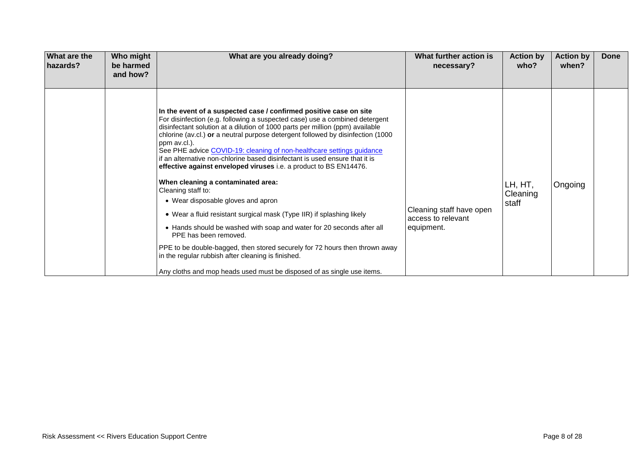| <b>What are the</b><br>hazards? | Who might<br>be harmed<br>and how? | What are you already doing?                                                                                                                                                                                                                                                                                                                                                                                                                                                                                                                                                                                                                                                                                                                                                                                                                                                                                                                                                                                                                                    | What further action is<br>necessary?                         | <b>Action by</b><br>who?     | <b>Action by</b><br>when? | Done |
|---------------------------------|------------------------------------|----------------------------------------------------------------------------------------------------------------------------------------------------------------------------------------------------------------------------------------------------------------------------------------------------------------------------------------------------------------------------------------------------------------------------------------------------------------------------------------------------------------------------------------------------------------------------------------------------------------------------------------------------------------------------------------------------------------------------------------------------------------------------------------------------------------------------------------------------------------------------------------------------------------------------------------------------------------------------------------------------------------------------------------------------------------|--------------------------------------------------------------|------------------------------|---------------------------|------|
|                                 |                                    | In the event of a suspected case / confirmed positive case on site<br>For disinfection (e.g. following a suspected case) use a combined detergent<br>disinfectant solution at a dilution of 1000 parts per million (ppm) available<br>chlorine (av.cl.) or a neutral purpose detergent followed by disinfection (1000<br>ppm av.cl.).<br>See PHE advice COVID-19: cleaning of non-healthcare settings guidance<br>if an alternative non-chlorine based disinfectant is used ensure that it is<br>effective against enveloped viruses i.e. a product to BS EN14476.<br>When cleaning a contaminated area:<br>Cleaning staff to:<br>• Wear disposable gloves and apron<br>• Wear a fluid resistant surgical mask (Type IIR) if splashing likely<br>• Hands should be washed with soap and water for 20 seconds after all<br>PPE has been removed.<br>PPE to be double-bagged, then stored securely for 72 hours then thrown away<br>in the regular rubbish after cleaning is finished.<br>Any cloths and mop heads used must be disposed of as single use items. | Cleaning staff have open<br>access to relevant<br>equipment. | LH, HT,<br>Cleaning<br>staff | Ongoing                   |      |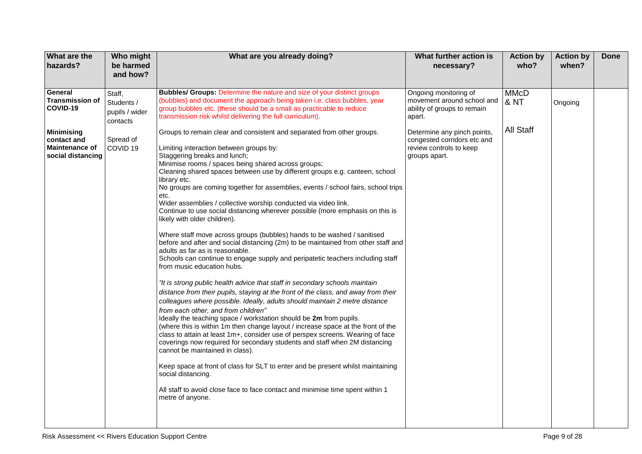| What are the<br>hazards?                                                       | Who might<br>be harmed<br>and how?                 | What are you already doing?                                                                                                                                                                                                                                                                                                                                                                                                                                                                                                                                                                                                                                                                                                                                                                                                                                                                                                                                                                                                                                                                                                                                                                                                                                                                                                                                                                                                                                                                                                                                                                                                                                                                                                                                                        | What further action is<br>necessary?                                                                   | <b>Action by</b><br>who?       | <b>Action by</b><br>when? | <b>Done</b> |
|--------------------------------------------------------------------------------|----------------------------------------------------|------------------------------------------------------------------------------------------------------------------------------------------------------------------------------------------------------------------------------------------------------------------------------------------------------------------------------------------------------------------------------------------------------------------------------------------------------------------------------------------------------------------------------------------------------------------------------------------------------------------------------------------------------------------------------------------------------------------------------------------------------------------------------------------------------------------------------------------------------------------------------------------------------------------------------------------------------------------------------------------------------------------------------------------------------------------------------------------------------------------------------------------------------------------------------------------------------------------------------------------------------------------------------------------------------------------------------------------------------------------------------------------------------------------------------------------------------------------------------------------------------------------------------------------------------------------------------------------------------------------------------------------------------------------------------------------------------------------------------------------------------------------------------------|--------------------------------------------------------------------------------------------------------|--------------------------------|---------------------------|-------------|
| General<br><b>Transmission of</b><br>COVID-19                                  | Staff,<br>Students /<br>pupils / wider<br>contacts | <b>Bubbles/ Groups: Determine the nature and size of your distinct groups</b><br>(bubbles) and document the approach being taken i.e. class bubbles, year<br>group bubbles etc. (these should be a small as practicable to reduce<br>transmission risk whilst delivering the full curriculum).                                                                                                                                                                                                                                                                                                                                                                                                                                                                                                                                                                                                                                                                                                                                                                                                                                                                                                                                                                                                                                                                                                                                                                                                                                                                                                                                                                                                                                                                                     | Ongoing monitoring of<br>movement around school and<br>ability of groups to remain<br>apart.           | <b>MMcD</b><br><b>&amp; NT</b> | Ongoing                   |             |
| <b>Minimising</b><br>contact and<br><b>Maintenance of</b><br>social distancing | Spread of<br>COVID <sub>19</sub>                   | Groups to remain clear and consistent and separated from other groups.<br>Limiting interaction between groups by:<br>Staggering breaks and lunch;<br>Minimise rooms / spaces being shared across groups;<br>Cleaning shared spaces between use by different groups e.g. canteen, school<br>library etc.<br>No groups are coming together for assemblies, events / school fairs, school trips<br>etc.<br>Wider assemblies / collective worship conducted via video link.<br>Continue to use social distancing wherever possible (more emphasis on this is<br>likely with older children).<br>Where staff move across groups (bubbles) hands to be washed / sanitised<br>before and after and social distancing (2m) to be maintained from other staff and<br>adults as far as is reasonable.<br>Schools can continue to engage supply and peripatetic teachers including staff<br>from music education hubs.<br>"It is strong public health advice that staff in secondary schools maintain<br>distance from their pupils, staying at the front of the class, and away from their<br>colleagues where possible. Ideally, adults should maintain 2 metre distance<br>from each other, and from children"<br>Ideally the teaching space / workstation should be 2m from pupils.<br>(where this is within 1m then change layout / increase space at the front of the<br>class to attain at least 1m+, consider use of perspex screens. Wearing of face<br>coverings now required for secondary students and staff when 2M distancing<br>cannot be maintained in class).<br>Keep space at front of class for SLT to enter and be present whilst maintaining<br>social distancing.<br>All staff to avoid close face to face contact and minimise time spent within 1<br>metre of anyone. | Determine any pinch points,<br>congested corridors etc and<br>review controls to keep<br>groups apart. | All Staff                      |                           |             |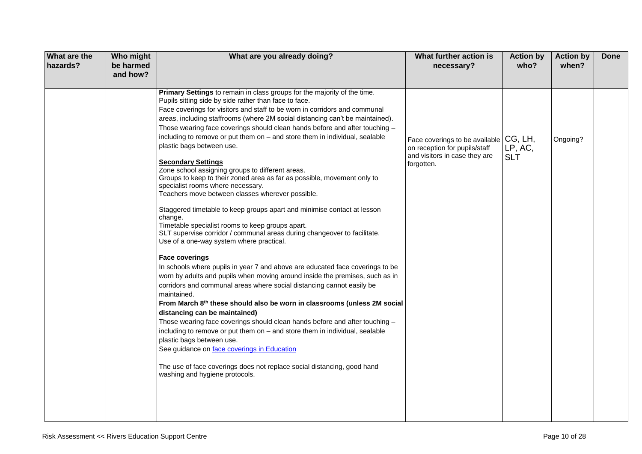| What are the<br>hazards? | Who might<br>be harmed<br>and how? | What are you already doing?                                                                                                                                                                                                                                                                                                                                                                                                                                                                                                                                                                                                                                                                                                                                                                                                                                                                                                                                                                                                                                                                                                                                                                                  | What further action is<br>necessary?                                                                                   | <b>Action by</b><br>who? | <b>Action by</b><br>when? | <b>Done</b> |
|--------------------------|------------------------------------|--------------------------------------------------------------------------------------------------------------------------------------------------------------------------------------------------------------------------------------------------------------------------------------------------------------------------------------------------------------------------------------------------------------------------------------------------------------------------------------------------------------------------------------------------------------------------------------------------------------------------------------------------------------------------------------------------------------------------------------------------------------------------------------------------------------------------------------------------------------------------------------------------------------------------------------------------------------------------------------------------------------------------------------------------------------------------------------------------------------------------------------------------------------------------------------------------------------|------------------------------------------------------------------------------------------------------------------------|--------------------------|---------------------------|-------------|
|                          |                                    | Primary Settings to remain in class groups for the majority of the time.<br>Pupils sitting side by side rather than face to face.<br>Face coverings for visitors and staff to be worn in corridors and communal<br>areas, including staffrooms (where 2M social distancing can't be maintained).<br>Those wearing face coverings should clean hands before and after touching -<br>including to remove or put them on - and store them in individual, sealable<br>plastic bags between use.<br><b>Secondary Settings</b><br>Zone school assigning groups to different areas.<br>Groups to keep to their zoned area as far as possible, movement only to<br>specialist rooms where necessary.<br>Teachers move between classes wherever possible.<br>Staggered timetable to keep groups apart and minimise contact at lesson<br>change.<br>Timetable specialist rooms to keep groups apart.<br>SLT supervise corridor / communal areas during changeover to facilitate.<br>Use of a one-way system where practical.<br><b>Face coverings</b><br>In schools where pupils in year 7 and above are educated face coverings to be<br>worn by adults and pupils when moving around inside the premises, such as in | Face coverings to be available CG, LH,<br>on reception for pupils/staff<br>and visitors in case they are<br>forgotten. | LP, AC,<br><b>SLT</b>    | Ongoing?                  |             |
|                          |                                    | corridors and communal areas where social distancing cannot easily be<br>maintained.<br>From March 8th these should also be worn in classrooms (unless 2M social<br>distancing can be maintained)<br>Those wearing face coverings should clean hands before and after touching -<br>including to remove or put them on - and store them in individual, sealable<br>plastic bags between use.<br>See guidance on face coverings in Education<br>The use of face coverings does not replace social distancing, good hand<br>washing and hygiene protocols.                                                                                                                                                                                                                                                                                                                                                                                                                                                                                                                                                                                                                                                     |                                                                                                                        |                          |                           |             |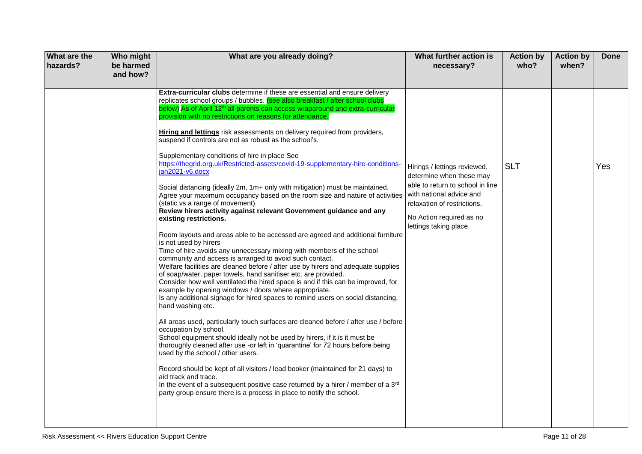| What are the<br>hazards? | Who might<br>be harmed<br>and how? | What are you already doing?                                                                                                                                                                                                                                                                                                                                                                                                                                                                                                                                                                                                                                                                                                                                                                                                                                                                                                                                                                                                                                                                                                                                                                                                                                                                                                                                                                                                                                                                                                                                                                                                                                                                                                                                                                                                                                                                                                                                                                                                                                                                                                                                                                 | What further action is<br>necessary?                                                                                                                                                                          | <b>Action by</b><br>who? | <b>Action by</b><br>when? | Done |
|--------------------------|------------------------------------|---------------------------------------------------------------------------------------------------------------------------------------------------------------------------------------------------------------------------------------------------------------------------------------------------------------------------------------------------------------------------------------------------------------------------------------------------------------------------------------------------------------------------------------------------------------------------------------------------------------------------------------------------------------------------------------------------------------------------------------------------------------------------------------------------------------------------------------------------------------------------------------------------------------------------------------------------------------------------------------------------------------------------------------------------------------------------------------------------------------------------------------------------------------------------------------------------------------------------------------------------------------------------------------------------------------------------------------------------------------------------------------------------------------------------------------------------------------------------------------------------------------------------------------------------------------------------------------------------------------------------------------------------------------------------------------------------------------------------------------------------------------------------------------------------------------------------------------------------------------------------------------------------------------------------------------------------------------------------------------------------------------------------------------------------------------------------------------------------------------------------------------------------------------------------------------------|---------------------------------------------------------------------------------------------------------------------------------------------------------------------------------------------------------------|--------------------------|---------------------------|------|
|                          |                                    | <b>Extra-curricular clubs</b> determine if these are essential and ensure delivery<br>replicates school groups / bubbles. (see also breakfast / after school clubs<br>below). As of April 12 <sup>th</sup> all parents can access wraparound and extra-curricular<br>provision with no restrictions on reasons for attendance.<br>Hiring and lettings risk assessments on delivery required from providers,<br>suspend if controls are not as robust as the school's.<br>Supplementary conditions of hire in place See<br>https://thegrid.org.uk/Restricted-assets/covid-19-supplementary-hire-conditions-<br>jan2021-v6.docx<br>Social distancing (ideally 2m, 1m+ only with mitigation) must be maintained.<br>Agree your maximum occupancy based on the room size and nature of activities<br>(static vs a range of movement).<br>Review hirers activity against relevant Government guidance and any<br>existing restrictions.<br>Room layouts and areas able to be accessed are agreed and additional furniture<br>is not used by hirers<br>Time of hire avoids any unnecessary mixing with members of the school<br>community and access is arranged to avoid such contact.<br>Welfare facilities are cleaned before / after use by hirers and adequate supplies<br>of soap/water, paper towels, hand sanitiser etc. are provided.<br>Consider how well ventilated the hired space is and if this can be improved, for<br>example by opening windows / doors where appropriate.<br>Is any additional signage for hired spaces to remind users on social distancing,<br>hand washing etc.<br>All areas used, particularly touch surfaces are cleaned before / after use / before<br>occupation by school.<br>School equipment should ideally not be used by hirers, if it is it must be<br>thoroughly cleaned after use -or left in 'quarantine' for 72 hours before being<br>used by the school / other users.<br>Record should be kept of all visitors / lead booker (maintained for 21 days) to<br>aid track and trace.<br>In the event of a subsequent positive case returned by a hirer / member of a 3rd<br>party group ensure there is a process in place to notify the school. | Hirings / lettings reviewed,<br>determine when these may<br>able to return to school in line<br>with national advice and<br>relaxation of restrictions.<br>No Action required as no<br>lettings taking place. | <b>SLT</b>               |                           | Yes  |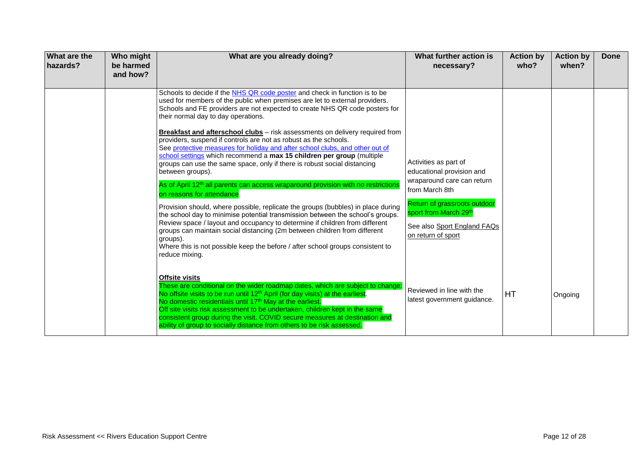| <b>What are the</b><br>hazards? | Who might<br>be harmed<br>and how? | What are you already doing?                                                                                                                                                                                                                                                                                                                                                                                                                                                                                                                                                                                                                                                                                                                                                                                                                                                                                                                                                                                                                                                                                                                                                                                                                                                   | What further action is<br>necessary?                                                                                                                                                                             | <b>Action by</b><br>who? | <b>Action by</b><br>when? | Done |
|---------------------------------|------------------------------------|-------------------------------------------------------------------------------------------------------------------------------------------------------------------------------------------------------------------------------------------------------------------------------------------------------------------------------------------------------------------------------------------------------------------------------------------------------------------------------------------------------------------------------------------------------------------------------------------------------------------------------------------------------------------------------------------------------------------------------------------------------------------------------------------------------------------------------------------------------------------------------------------------------------------------------------------------------------------------------------------------------------------------------------------------------------------------------------------------------------------------------------------------------------------------------------------------------------------------------------------------------------------------------|------------------------------------------------------------------------------------------------------------------------------------------------------------------------------------------------------------------|--------------------------|---------------------------|------|
|                                 |                                    | Schools to decide if the NHS QR code poster and check in function is to be<br>used for members of the public when premises are let to external providers.<br>Schools and FE providers are not expected to create NHS QR code posters for<br>their normal day to day operations.<br>Breakfast and afterschool clubs - risk assessments on delivery required from<br>providers, suspend if controls are not as robust as the schools.<br>See protective measures for holiday and after school clubs, and other out of<br>school settings which recommend a max 15 children per group (multiple<br>groups can use the same space, only if there is robust social distancing<br>between groups).<br>As of April 12 <sup>th</sup> all parents can access wraparound provision with no restrictions<br>on reasons for attendance.<br>Provision should, where possible, replicate the groups (bubbles) in place during<br>the school day to minimise potential transmission between the school's groups.<br>Review space / layout and occupancy to determine if children from different<br>groups can maintain social distancing (2m between children from different<br>groups).<br>Where this is not possible keep the before / after school groups consistent to<br>reduce mixing. | Activities as part of<br>educational provision and<br>wraparound care can return<br>from March 8th<br>Return of grassroots outdoor<br>sport from March 29th<br>See also Sport England FAQs<br>on return of sport |                          |                           |      |
|                                 |                                    | <b>Offsite visits</b><br>These are conditional on the wider roadmap dates, which are subject to change:<br>No offsite visits to be run until 12 <sup>th</sup> April (for day visits) at the earliest.<br>No domestic residentials until 17 <sup>th</sup> May at the earliest.<br>Off site visits risk assessment to be undertaken, children kept in the same<br>consistent group during the visit. COVID secure measures at destination and<br>ability of group to socially distance from others to be risk assessed.                                                                                                                                                                                                                                                                                                                                                                                                                                                                                                                                                                                                                                                                                                                                                         | Reviewed in line with the<br>latest government guidance.                                                                                                                                                         | HT                       | Ongoing                   |      |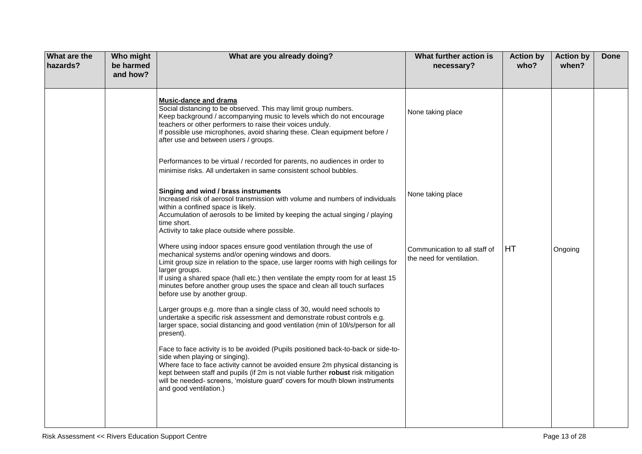| What are the<br>hazards? | Who might<br>be harmed<br>and how? | What are you already doing?                                                                                                                                                                                                                                                                                                                                                                                                           | What further action is<br>necessary?                       | <b>Action by</b><br>who? | <b>Action by</b><br>when? | <b>Done</b> |
|--------------------------|------------------------------------|---------------------------------------------------------------------------------------------------------------------------------------------------------------------------------------------------------------------------------------------------------------------------------------------------------------------------------------------------------------------------------------------------------------------------------------|------------------------------------------------------------|--------------------------|---------------------------|-------------|
|                          |                                    | <b>Music-dance and drama</b><br>Social distancing to be observed. This may limit group numbers.<br>Keep background / accompanying music to levels which do not encourage<br>teachers or other performers to raise their voices unduly.<br>If possible use microphones, avoid sharing these. Clean equipment before /<br>after use and between users / groups.                                                                         | None taking place                                          |                          |                           |             |
|                          |                                    | Performances to be virtual / recorded for parents, no audiences in order to<br>minimise risks. All undertaken in same consistent school bubbles.                                                                                                                                                                                                                                                                                      |                                                            |                          |                           |             |
|                          |                                    | Singing and wind / brass instruments<br>Increased risk of aerosol transmission with volume and numbers of individuals<br>within a confined space is likely.<br>Accumulation of aerosols to be limited by keeping the actual singing / playing<br>time short.<br>Activity to take place outside where possible.                                                                                                                        | None taking place                                          |                          |                           |             |
|                          |                                    | Where using indoor spaces ensure good ventilation through the use of<br>mechanical systems and/or opening windows and doors.<br>Limit group size in relation to the space, use larger rooms with high ceilings for<br>larger groups.<br>If using a shared space (hall etc.) then ventilate the empty room for at least 15<br>minutes before another group uses the space and clean all touch surfaces<br>before use by another group. | Communication to all staff of<br>the need for ventilation. | HT                       | Ongoing                   |             |
|                          |                                    | Larger groups e.g. more than a single class of 30, would need schools to<br>undertake a specific risk assessment and demonstrate robust controls e.g.<br>larger space, social distancing and good ventilation (min of 10l/s/person for all<br>present).                                                                                                                                                                               |                                                            |                          |                           |             |
|                          |                                    | Face to face activity is to be avoided (Pupils positioned back-to-back or side-to-<br>side when playing or singing).<br>Where face to face activity cannot be avoided ensure 2m physical distancing is<br>kept between staff and pupils (if 2m is not viable further robust risk mitigation<br>will be needed- screens, 'moisture guard' covers for mouth blown instruments<br>and good ventilation.)                                 |                                                            |                          |                           |             |
|                          |                                    |                                                                                                                                                                                                                                                                                                                                                                                                                                       |                                                            |                          |                           |             |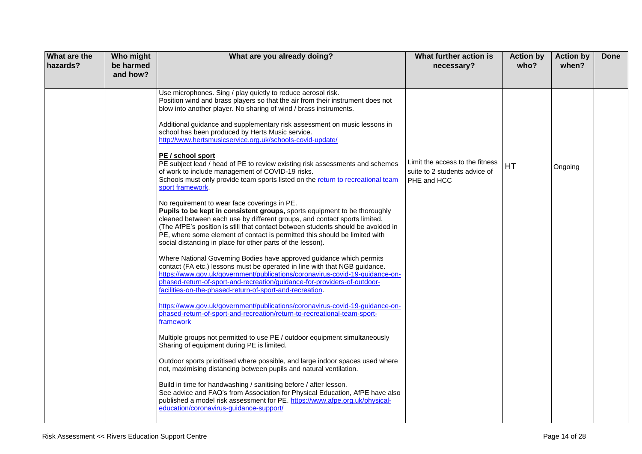| What are the<br>hazards? | Who might<br>be harmed<br>and how? | What are you already doing?                                                                                                                                                                                                                                                                                                                                                                                                                                                                                                                                                                                                                                                                                                                                                                                                                                                                                                                                                                                                                                                                                                                                                                                                                                                                                                                                                                                                                                                                                                                                                                                                                                                                                                                                                                                                                                                                                                                                                                                                                                                                                                                                                                                                                          | What further action is<br>necessary?                                            | <b>Action by</b><br>who? | <b>Action by</b><br>when? | <b>Done</b> |
|--------------------------|------------------------------------|------------------------------------------------------------------------------------------------------------------------------------------------------------------------------------------------------------------------------------------------------------------------------------------------------------------------------------------------------------------------------------------------------------------------------------------------------------------------------------------------------------------------------------------------------------------------------------------------------------------------------------------------------------------------------------------------------------------------------------------------------------------------------------------------------------------------------------------------------------------------------------------------------------------------------------------------------------------------------------------------------------------------------------------------------------------------------------------------------------------------------------------------------------------------------------------------------------------------------------------------------------------------------------------------------------------------------------------------------------------------------------------------------------------------------------------------------------------------------------------------------------------------------------------------------------------------------------------------------------------------------------------------------------------------------------------------------------------------------------------------------------------------------------------------------------------------------------------------------------------------------------------------------------------------------------------------------------------------------------------------------------------------------------------------------------------------------------------------------------------------------------------------------------------------------------------------------------------------------------------------------|---------------------------------------------------------------------------------|--------------------------|---------------------------|-------------|
|                          |                                    | Use microphones. Sing / play quietly to reduce aerosol risk.<br>Position wind and brass players so that the air from their instrument does not<br>blow into another player. No sharing of wind / brass instruments.<br>Additional guidance and supplementary risk assessment on music lessons in<br>school has been produced by Herts Music service.<br>http://www.hertsmusicservice.org.uk/schools-covid-update/<br>PE / school sport<br>PE subject lead / head of PE to review existing risk assessments and schemes<br>of work to include management of COVID-19 risks.<br>Schools must only provide team sports listed on the return to recreational team<br>sport framework.<br>No requirement to wear face coverings in PE.<br>Pupils to be kept in consistent groups, sports equipment to be thoroughly<br>cleaned between each use by different groups, and contact sports limited.<br>(The AfPE's position is still that contact between students should be avoided in<br>PE, where some element of contact is permitted this should be limited with<br>social distancing in place for other parts of the lesson).<br>Where National Governing Bodies have approved guidance which permits<br>contact (FA etc.) lessons must be operated in line with that NGB guidance.<br>https://www.gov.uk/government/publications/coronavirus-covid-19-guidance-on-<br>phased-return-of-sport-and-recreation/guidance-for-providers-of-outdoor-<br>facilities-on-the-phased-return-of-sport-and-recreation.<br>https://www.gov.uk/government/publications/coronavirus-covid-19-guidance-on-<br>phased-return-of-sport-and-recreation/return-to-recreational-team-sport-<br>framework<br>Multiple groups not permitted to use PE / outdoor equipment simultaneously<br>Sharing of equipment during PE is limited.<br>Outdoor sports prioritised where possible, and large indoor spaces used where<br>not, maximising distancing between pupils and natural ventilation.<br>Build in time for handwashing / sanitising before / after lesson.<br>See advice and FAQ's from Association for Physical Education, AfPE have also<br>published a model risk assessment for PE. https://www.afpe.org.uk/physical-<br>education/coronavirus-guidance-support/ | Limit the access to the fitness<br>suite to 2 students advice of<br>PHE and HCC | HT                       | Ongoing                   |             |
|                          |                                    |                                                                                                                                                                                                                                                                                                                                                                                                                                                                                                                                                                                                                                                                                                                                                                                                                                                                                                                                                                                                                                                                                                                                                                                                                                                                                                                                                                                                                                                                                                                                                                                                                                                                                                                                                                                                                                                                                                                                                                                                                                                                                                                                                                                                                                                      |                                                                                 |                          |                           |             |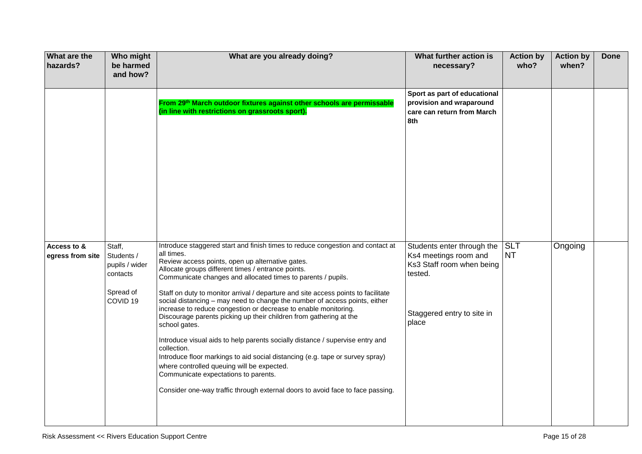| <b>What are the</b><br>hazards? | Who might<br>be harmed<br>and how?                                                     | What are you already doing?                                                                                                                                                                                                                                                                                                                                                                                                                                                                                                                                                                                                                                                                                                                                                                                                                                                                                                                                  | What further action is<br>necessary?                                                                                               | <b>Action by</b><br>who? | <b>Action by</b><br>when? | <b>Done</b> |
|---------------------------------|----------------------------------------------------------------------------------------|--------------------------------------------------------------------------------------------------------------------------------------------------------------------------------------------------------------------------------------------------------------------------------------------------------------------------------------------------------------------------------------------------------------------------------------------------------------------------------------------------------------------------------------------------------------------------------------------------------------------------------------------------------------------------------------------------------------------------------------------------------------------------------------------------------------------------------------------------------------------------------------------------------------------------------------------------------------|------------------------------------------------------------------------------------------------------------------------------------|--------------------------|---------------------------|-------------|
|                                 |                                                                                        | From 29 <sup>th</sup> March outdoor fixtures against other schools are permissable<br>(in line with restrictions on grassroots sport).                                                                                                                                                                                                                                                                                                                                                                                                                                                                                                                                                                                                                                                                                                                                                                                                                       | Sport as part of educational<br>provision and wraparound<br>care can return from March<br>8th                                      |                          |                           |             |
| Access to &<br>egress from site | Staff,<br>Students /<br>pupils / wider<br>contacts<br>Spread of<br>COVID <sub>19</sub> | Introduce staggered start and finish times to reduce congestion and contact at<br>all times.<br>Review access points, open up alternative gates.<br>Allocate groups different times / entrance points.<br>Communicate changes and allocated times to parents / pupils.<br>Staff on duty to monitor arrival / departure and site access points to facilitate<br>social distancing - may need to change the number of access points, either<br>increase to reduce congestion or decrease to enable monitoring.<br>Discourage parents picking up their children from gathering at the<br>school gates.<br>Introduce visual aids to help parents socially distance / supervise entry and<br>collection.<br>Introduce floor markings to aid social distancing (e.g. tape or survey spray)<br>where controlled queuing will be expected.<br>Communicate expectations to parents.<br>Consider one-way traffic through external doors to avoid face to face passing. | Students enter through the<br>Ks4 meetings room and<br>Ks3 Staff room when being<br>tested.<br>Staggered entry to site in<br>place | SLT<br><b>NT</b>         | Ongoing                   |             |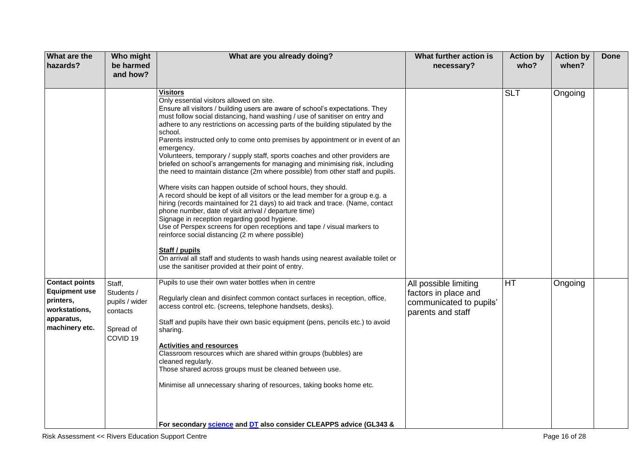| What are the<br>hazards?                                                                                    | Who might<br>be harmed<br>and how?                                                     | What are you already doing?                                                                                                                                                                                                                                                                                                                                                                                                                                                                                                                                                                                                                                                                                                                                                                                                                                                                                                                                                                                                                                                                                                                                                                                                                                                                                           | What further action is<br>necessary?                                                          | <b>Action by</b><br>who? | <b>Action by</b><br>when? | <b>Done</b> |
|-------------------------------------------------------------------------------------------------------------|----------------------------------------------------------------------------------------|-----------------------------------------------------------------------------------------------------------------------------------------------------------------------------------------------------------------------------------------------------------------------------------------------------------------------------------------------------------------------------------------------------------------------------------------------------------------------------------------------------------------------------------------------------------------------------------------------------------------------------------------------------------------------------------------------------------------------------------------------------------------------------------------------------------------------------------------------------------------------------------------------------------------------------------------------------------------------------------------------------------------------------------------------------------------------------------------------------------------------------------------------------------------------------------------------------------------------------------------------------------------------------------------------------------------------|-----------------------------------------------------------------------------------------------|--------------------------|---------------------------|-------------|
|                                                                                                             |                                                                                        | <b>Visitors</b><br>Only essential visitors allowed on site.<br>Ensure all visitors / building users are aware of school's expectations. They<br>must follow social distancing, hand washing / use of sanitiser on entry and<br>adhere to any restrictions on accessing parts of the building stipulated by the<br>school.<br>Parents instructed only to come onto premises by appointment or in event of an<br>emergency.<br>Volunteers, temporary / supply staff, sports coaches and other providers are<br>briefed on school's arrangements for managing and minimising risk, including<br>the need to maintain distance (2m where possible) from other staff and pupils.<br>Where visits can happen outside of school hours, they should.<br>A record should be kept of all visitors or the lead member for a group e.g. a<br>hiring (records maintained for 21 days) to aid track and trace. (Name, contact<br>phone number, date of visit arrival / departure time)<br>Signage in reception regarding good hygiene.<br>Use of Perspex screens for open receptions and tape / visual markers to<br>reinforce social distancing (2 m where possible)<br>Staff / pupils<br>On arrival all staff and students to wash hands using nearest available toilet or<br>use the sanitiser provided at their point of entry. |                                                                                               | <b>SLT</b>               | Ongoing                   |             |
| <b>Contact points</b><br><b>Equipment use</b><br>printers,<br>workstations,<br>apparatus,<br>machinery etc. | Staff,<br>Students /<br>pupils / wider<br>contacts<br>Spread of<br>COVID <sub>19</sub> | Pupils to use their own water bottles when in centre<br>Regularly clean and disinfect common contact surfaces in reception, office,<br>access control etc. (screens, telephone handsets, desks).<br>Staff and pupils have their own basic equipment (pens, pencils etc.) to avoid<br>sharing.<br><b>Activities and resources</b><br>Classroom resources which are shared within groups (bubbles) are<br>cleaned regularly.<br>Those shared across groups must be cleaned between use.<br>Minimise all unnecessary sharing of resources, taking books home etc.                                                                                                                                                                                                                                                                                                                                                                                                                                                                                                                                                                                                                                                                                                                                                        | All possible limiting<br>factors in place and<br>communicated to pupils'<br>parents and staff | HT                       | Ongoing                   |             |
|                                                                                                             |                                                                                        | For secondary science and DT also consider CLEAPPS advice (GL343 &                                                                                                                                                                                                                                                                                                                                                                                                                                                                                                                                                                                                                                                                                                                                                                                                                                                                                                                                                                                                                                                                                                                                                                                                                                                    |                                                                                               |                          |                           |             |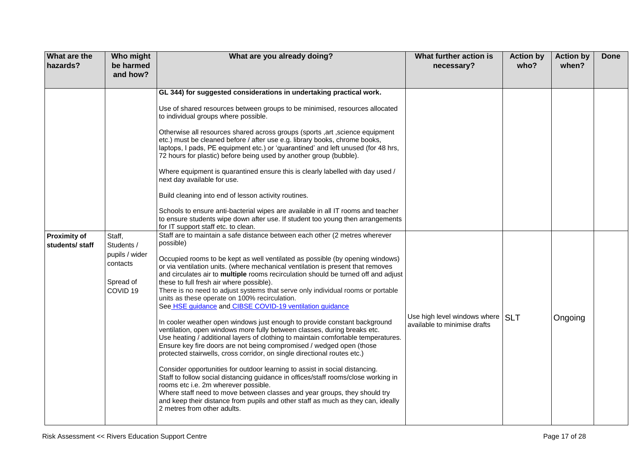| <b>What are the</b><br>hazards?       | Who might<br>be harmed<br>and how?                                                     | What are you already doing?                                                                                                                                                                                                                                                                                                                                                                                                                                                                                                                                                                                                                                                                                                                                                                                                                                                                                                                                                                                                                                                                                                                                                                                                                                                                                                                                                                                                                                                                                                                                                                                                                                                                                                                                                                                                                                                                                                                                                                                                                                                                                                                                                                                                                                                                   | What further action is<br>necessary?                             | <b>Action by</b><br>who? | <b>Action by</b><br>when? | <b>Done</b> |
|---------------------------------------|----------------------------------------------------------------------------------------|-----------------------------------------------------------------------------------------------------------------------------------------------------------------------------------------------------------------------------------------------------------------------------------------------------------------------------------------------------------------------------------------------------------------------------------------------------------------------------------------------------------------------------------------------------------------------------------------------------------------------------------------------------------------------------------------------------------------------------------------------------------------------------------------------------------------------------------------------------------------------------------------------------------------------------------------------------------------------------------------------------------------------------------------------------------------------------------------------------------------------------------------------------------------------------------------------------------------------------------------------------------------------------------------------------------------------------------------------------------------------------------------------------------------------------------------------------------------------------------------------------------------------------------------------------------------------------------------------------------------------------------------------------------------------------------------------------------------------------------------------------------------------------------------------------------------------------------------------------------------------------------------------------------------------------------------------------------------------------------------------------------------------------------------------------------------------------------------------------------------------------------------------------------------------------------------------------------------------------------------------------------------------------------------------|------------------------------------------------------------------|--------------------------|---------------------------|-------------|
| <b>Proximity of</b><br>students/staff | Staff,<br>Students /<br>pupils / wider<br>contacts<br>Spread of<br>COVID <sub>19</sub> | GL 344) for suggested considerations in undertaking practical work.<br>Use of shared resources between groups to be minimised, resources allocated<br>to individual groups where possible.<br>Otherwise all resources shared across groups (sports , art , science equipment<br>etc.) must be cleaned before / after use e.g. library books, chrome books,<br>laptops, I pads, PE equipment etc.) or 'quarantined' and left unused (for 48 hrs,<br>72 hours for plastic) before being used by another group (bubble).<br>Where equipment is quarantined ensure this is clearly labelled with day used /<br>next day available for use.<br>Build cleaning into end of lesson activity routines.<br>Schools to ensure anti-bacterial wipes are available in all IT rooms and teacher<br>to ensure students wipe down after use. If student too young then arrangements<br>for IT support staff etc. to clean.<br>Staff are to maintain a safe distance between each other (2 metres wherever<br>possible)<br>Occupied rooms to be kept as well ventilated as possible (by opening windows)<br>or via ventilation units. (where mechanical ventilation is present that removes<br>and circulates air to multiple rooms recirculation should be turned off and adjust<br>these to full fresh air where possible).<br>There is no need to adjust systems that serve only individual rooms or portable<br>units as these operate on 100% recirculation.<br>See HSE guidance and CIBSE COVID-19 ventilation guidance<br>In cooler weather open windows just enough to provide constant background<br>ventilation, open windows more fully between classes, during breaks etc.<br>Use heating / additional layers of clothing to maintain comfortable temperatures.<br>Ensure key fire doors are not being compromised / wedged open (those<br>protected stairwells, cross corridor, on single directional routes etc.)<br>Consider opportunities for outdoor learning to assist in social distancing.<br>Staff to follow social distancing guidance in offices/staff rooms/close working in<br>rooms etc i.e. 2m wherever possible.<br>Where staff need to move between classes and year groups, they should try<br>and keep their distance from pupils and other staff as much as they can, ideally | Use high level windows where SLT<br>available to minimise drafts |                          | Ongoing                   |             |
|                                       |                                                                                        | 2 metres from other adults.                                                                                                                                                                                                                                                                                                                                                                                                                                                                                                                                                                                                                                                                                                                                                                                                                                                                                                                                                                                                                                                                                                                                                                                                                                                                                                                                                                                                                                                                                                                                                                                                                                                                                                                                                                                                                                                                                                                                                                                                                                                                                                                                                                                                                                                                   |                                                                  |                          |                           |             |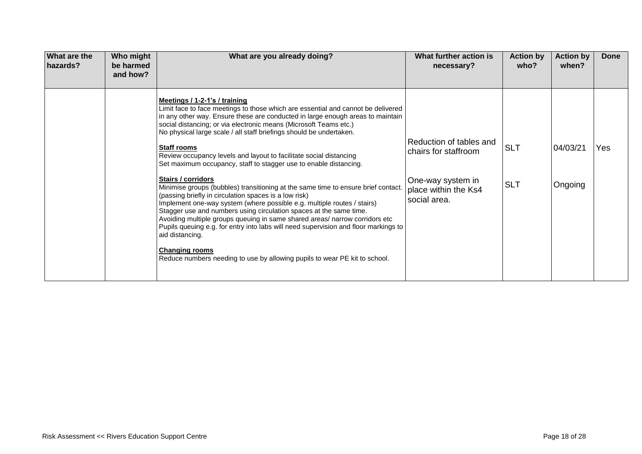| What are the<br>hazards? | Who might<br>be harmed<br>and how? | What are you already doing?                                                                                                                                                                                                                                                                                                                                                                                                                                                                                                                                                                                                                                                                                                                                                                                                                                                                                                                                                                                                                                                                                                                  | What further action is<br>necessary?                                                                         | <b>Action by</b><br>who? | <b>Action by</b><br>when? | Done |
|--------------------------|------------------------------------|----------------------------------------------------------------------------------------------------------------------------------------------------------------------------------------------------------------------------------------------------------------------------------------------------------------------------------------------------------------------------------------------------------------------------------------------------------------------------------------------------------------------------------------------------------------------------------------------------------------------------------------------------------------------------------------------------------------------------------------------------------------------------------------------------------------------------------------------------------------------------------------------------------------------------------------------------------------------------------------------------------------------------------------------------------------------------------------------------------------------------------------------|--------------------------------------------------------------------------------------------------------------|--------------------------|---------------------------|------|
|                          |                                    | Meetings / 1-2-1's / training<br>Limit face to face meetings to those which are essential and cannot be delivered<br>in any other way. Ensure these are conducted in large enough areas to maintain<br>social distancing; or via electronic means (Microsoft Teams etc.)<br>No physical large scale / all staff briefings should be undertaken.<br><b>Staff rooms</b><br>Review occupancy levels and layout to facilitate social distancing<br>Set maximum occupancy, staff to stagger use to enable distancing.<br><b>Stairs / corridors</b><br>Minimise groups (bubbles) transitioning at the same time to ensure brief contact.<br>(passing briefly in circulation spaces is a low risk)<br>Implement one-way system (where possible e.g. multiple routes / stairs)<br>Stagger use and numbers using circulation spaces at the same time.<br>Avoiding multiple groups queuing in same shared areas/ narrow corridors etc<br>Pupils queuing e.g. for entry into labs will need supervision and floor markings to<br>aid distancing.<br><b>Changing rooms</b><br>Reduce numbers needing to use by allowing pupils to wear PE kit to school. | Reduction of tables and<br>chairs for staffroom<br>One-way system in<br>place within the Ks4<br>social area. | <b>SLT</b><br><b>SLT</b> | 04/03/21<br>Ongoing       | Yes  |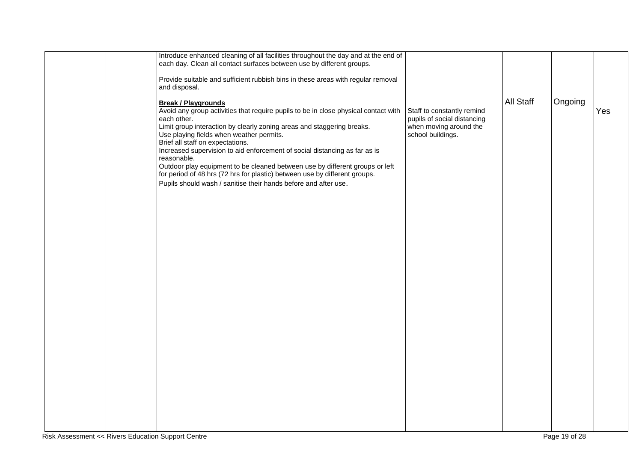|  | Introduce enhanced cleaning of all facilities throughout the day and at the end of<br>each day. Clean all contact surfaces between use by different groups.<br>Provide suitable and sufficient rubbish bins in these areas with regular removal<br>and disposal.                                                                                                                                                                                                                                                                                                                                                         |                                                                                                          |                  |         |     |
|--|--------------------------------------------------------------------------------------------------------------------------------------------------------------------------------------------------------------------------------------------------------------------------------------------------------------------------------------------------------------------------------------------------------------------------------------------------------------------------------------------------------------------------------------------------------------------------------------------------------------------------|----------------------------------------------------------------------------------------------------------|------------------|---------|-----|
|  | <b>Break / Playgrounds</b><br>Avoid any group activities that require pupils to be in close physical contact with<br>each other.<br>Limit group interaction by clearly zoning areas and staggering breaks.<br>Use playing fields when weather permits.<br>Brief all staff on expectations.<br>Increased supervision to aid enforcement of social distancing as far as is<br>reasonable.<br>Outdoor play equipment to be cleaned between use by different groups or left<br>for period of 48 hrs (72 hrs for plastic) between use by different groups.<br>Pupils should wash / sanitise their hands before and after use. | Staff to constantly remind<br>pupils of social distancing<br>when moving around the<br>school buildings. | <b>All Staff</b> | Ongoing | Yes |
|  |                                                                                                                                                                                                                                                                                                                                                                                                                                                                                                                                                                                                                          |                                                                                                          |                  |         |     |
|  |                                                                                                                                                                                                                                                                                                                                                                                                                                                                                                                                                                                                                          |                                                                                                          |                  |         |     |
|  |                                                                                                                                                                                                                                                                                                                                                                                                                                                                                                                                                                                                                          |                                                                                                          |                  |         |     |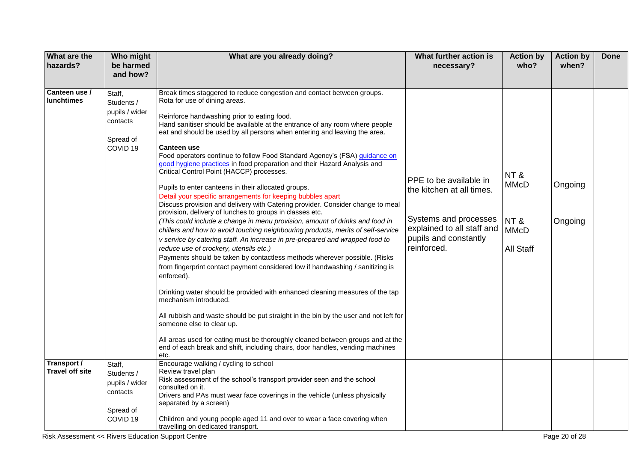| What are the<br>hazards?              | Who might<br>be harmed<br>and how?                                                     | What are you already doing?                                                                                                                                                                                                                                                                                                                                                                                                                                                                                                                                                                                                                                                                                                                                                                                                                                                                                                                                                                                                                                                                                                                                                                                                                                                                                                                                                                                                                                                                                                                                                                                                                                                                             | What further action is<br>necessary?                                                                                                               | <b>Action by</b><br>who?                              | <b>Action by</b><br>when? | <b>Done</b> |
|---------------------------------------|----------------------------------------------------------------------------------------|---------------------------------------------------------------------------------------------------------------------------------------------------------------------------------------------------------------------------------------------------------------------------------------------------------------------------------------------------------------------------------------------------------------------------------------------------------------------------------------------------------------------------------------------------------------------------------------------------------------------------------------------------------------------------------------------------------------------------------------------------------------------------------------------------------------------------------------------------------------------------------------------------------------------------------------------------------------------------------------------------------------------------------------------------------------------------------------------------------------------------------------------------------------------------------------------------------------------------------------------------------------------------------------------------------------------------------------------------------------------------------------------------------------------------------------------------------------------------------------------------------------------------------------------------------------------------------------------------------------------------------------------------------------------------------------------------------|----------------------------------------------------------------------------------------------------------------------------------------------------|-------------------------------------------------------|---------------------------|-------------|
|                                       |                                                                                        |                                                                                                                                                                                                                                                                                                                                                                                                                                                                                                                                                                                                                                                                                                                                                                                                                                                                                                                                                                                                                                                                                                                                                                                                                                                                                                                                                                                                                                                                                                                                                                                                                                                                                                         |                                                                                                                                                    |                                                       |                           |             |
| Canteen use /<br><b>lunchtimes</b>    | Staff,<br>Students /<br>pupils / wider<br>contacts<br>Spread of<br>COVID <sub>19</sub> | Break times staggered to reduce congestion and contact between groups.<br>Rota for use of dining areas.<br>Reinforce handwashing prior to eating food.<br>Hand sanitiser should be available at the entrance of any room where people<br>eat and should be used by all persons when entering and leaving the area.<br><b>Canteen use</b><br>Food operators continue to follow Food Standard Agency's (FSA) guidance on<br>good hygiene practices in food preparation and their Hazard Analysis and<br>Critical Control Point (HACCP) processes.<br>Pupils to enter canteens in their allocated groups.<br>Detail your specific arrangements for keeping bubbles apart<br>Discuss provision and delivery with Catering provider. Consider change to meal<br>provision, delivery of lunches to groups in classes etc.<br>(This could include a change in menu provision, amount of drinks and food in<br>chillers and how to avoid touching neighbouring products, merits of self-service<br>v service by catering staff. An increase in pre-prepared and wrapped food to<br>reduce use of crockery, utensils etc.)<br>Payments should be taken by contactless methods wherever possible. (Risks<br>from fingerprint contact payment considered low if handwashing / sanitizing is<br>enforced).<br>Drinking water should be provided with enhanced cleaning measures of the tap<br>mechanism introduced.<br>All rubbish and waste should be put straight in the bin by the user and not left for<br>someone else to clear up.<br>All areas used for eating must be thoroughly cleaned between groups and at the<br>end of each break and shift, including chairs, door handles, vending machines<br>etc. | PPE to be available in<br>the kitchen at all times.<br>Systems and processes<br>explained to all staff and<br>pupils and constantly<br>reinforced. | NT&<br><b>MMcD</b><br>NT&<br><b>MMcD</b><br>All Staff | Ongoing<br>Ongoing        |             |
| Transport /<br><b>Travel off site</b> | Staff,<br>Students /<br>pupils / wider<br>contacts<br>Spread of<br>COVID <sub>19</sub> | Encourage walking / cycling to school<br>Review travel plan<br>Risk assessment of the school's transport provider seen and the school<br>consulted on it.<br>Drivers and PAs must wear face coverings in the vehicle (unless physically<br>separated by a screen)<br>Children and young people aged 11 and over to wear a face covering when<br>travelling on dedicated transport.                                                                                                                                                                                                                                                                                                                                                                                                                                                                                                                                                                                                                                                                                                                                                                                                                                                                                                                                                                                                                                                                                                                                                                                                                                                                                                                      |                                                                                                                                                    |                                                       |                           |             |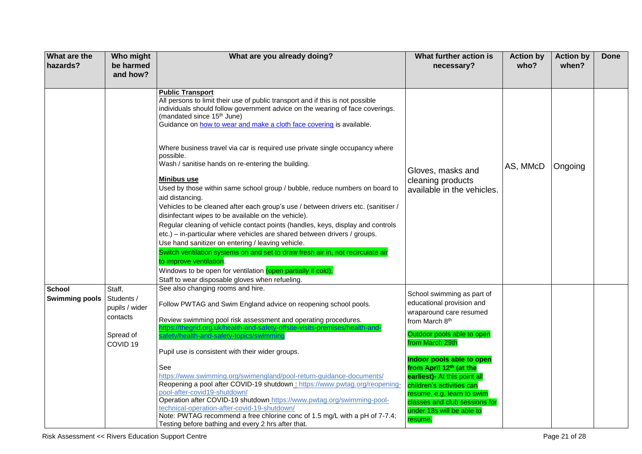| What are the<br>hazards?               | Who might<br>be harmed<br>and how?                                                     | What are you already doing?                                                                                                                                                                                                                                                                                                                                                                                                                                                                                                                                                                                                                                                                                                                                                                                                                                                                                                                                                                                                                                                                                                                                                        | What further action is<br>necessary?                                                                                                                                                                                                                                                                                                                                                         | <b>Action by</b><br>who? | <b>Action by</b><br>when? | <b>Done</b> |
|----------------------------------------|----------------------------------------------------------------------------------------|------------------------------------------------------------------------------------------------------------------------------------------------------------------------------------------------------------------------------------------------------------------------------------------------------------------------------------------------------------------------------------------------------------------------------------------------------------------------------------------------------------------------------------------------------------------------------------------------------------------------------------------------------------------------------------------------------------------------------------------------------------------------------------------------------------------------------------------------------------------------------------------------------------------------------------------------------------------------------------------------------------------------------------------------------------------------------------------------------------------------------------------------------------------------------------|----------------------------------------------------------------------------------------------------------------------------------------------------------------------------------------------------------------------------------------------------------------------------------------------------------------------------------------------------------------------------------------------|--------------------------|---------------------------|-------------|
|                                        |                                                                                        | <b>Public Transport</b><br>All persons to limit their use of public transport and if this is not possible<br>individuals should follow government advice on the wearing of face coverings.<br>(mandated since 15 <sup>th</sup> June)<br>Guidance on how to wear and make a cloth face covering is available.<br>Where business travel via car is required use private single occupancy where<br>possible.<br>Wash / sanitise hands on re-entering the building.<br>Minibus use<br>Used by those within same school group / bubble, reduce numbers on board to<br>aid distancing.<br>Vehicles to be cleaned after each group's use / between drivers etc. (sanitiser /<br>disinfectant wipes to be available on the vehicle).<br>Regular cleaning of vehicle contact points (handles, keys, display and controls<br>etc.) - in-particular where vehicles are shared between drivers / groups.<br>Use hand sanitizer on entering / leaving vehicle.<br>Switch ventilation systems on and set to draw fresh air in, not recirculate air<br>to improve ventilation.<br>Windows to be open for ventilation (open partially if cold).<br>Staff to wear disposable gloves when refueling. | Gloves, masks and<br>cleaning products<br>available in the vehicles.                                                                                                                                                                                                                                                                                                                         | AS, MMcD                 | Ongoing                   |             |
| <b>School</b><br><b>Swimming pools</b> | Staff,<br>Students /<br>pupils / wider<br>contacts<br>Spread of<br>COVID <sub>19</sub> | See also changing rooms and hire.<br>Follow PWTAG and Swim England advice on reopening school pools.<br>Review swimming pool risk assessment and operating procedures.<br>://thegrid.org.uk/health-and-safety-offsite-visits-premises/health-an<br>safety/health-and-safety-topics/swimming<br>Pupil use is consistent with their wider groups.<br>See<br>https://www.swimming.org/swimengland/pool-return-guidance-documents/<br>Reopening a pool after COVID-19 shutdown : https://www.pwtag.org/reopening-<br>pool-after-covid19-shutdown/<br>Operation after COVID-19 shutdown https://www.pwtag.org/swimming-pool-<br>technical-operation-after-covid-19-shutdown/<br>Note: PWTAG recommend a free chlorine conc of 1.5 mg/L with a pH of 7-7.4;<br>Testing before bathing and every 2 hrs after that.                                                                                                                                                                                                                                                                                                                                                                        | School swimming as part of<br>educational provision and<br>wraparound care resumed<br>from March 8th<br>Outdoor pools able to open<br>from March 29th<br>Indoor pools able to open<br>from April 12 <sup>th</sup> (at the<br>earliest)- At this point all<br>children's activities can<br>esume, e.g. learn to swim<br>classes and club sessions for<br>under 18s will be able to<br>resume. |                          |                           |             |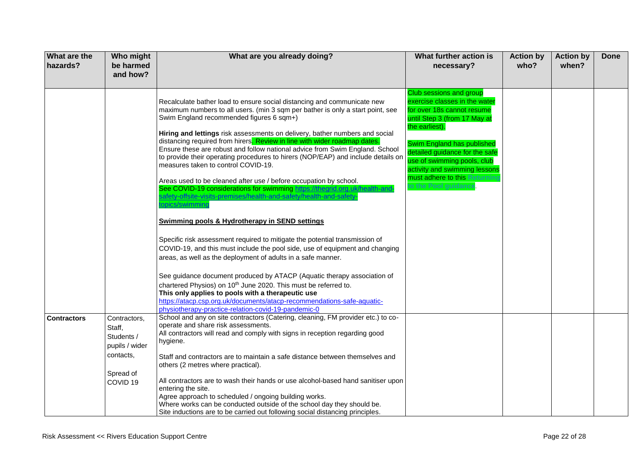| What are the<br>hazards? | Who might<br>be harmed<br>and how?                                                                      | What are you already doing?                                                                                                                                                                                                                                                                                                                                                                                                                                                                                                                                                                                                                                                                                                                                                                                                                                                                                                                                                                                                                                                                                                                                                                                                                                                                                                                                                                                    | What further action is<br>necessary?                                                                                                                                                                                                                                                                                           | <b>Action by</b><br>who? | <b>Action by</b><br>when? | Done |
|--------------------------|---------------------------------------------------------------------------------------------------------|----------------------------------------------------------------------------------------------------------------------------------------------------------------------------------------------------------------------------------------------------------------------------------------------------------------------------------------------------------------------------------------------------------------------------------------------------------------------------------------------------------------------------------------------------------------------------------------------------------------------------------------------------------------------------------------------------------------------------------------------------------------------------------------------------------------------------------------------------------------------------------------------------------------------------------------------------------------------------------------------------------------------------------------------------------------------------------------------------------------------------------------------------------------------------------------------------------------------------------------------------------------------------------------------------------------------------------------------------------------------------------------------------------------|--------------------------------------------------------------------------------------------------------------------------------------------------------------------------------------------------------------------------------------------------------------------------------------------------------------------------------|--------------------------|---------------------------|------|
|                          |                                                                                                         | Recalculate bather load to ensure social distancing and communicate new<br>maximum numbers to all users. (min 3 sqm per bather is only a start point, see<br>Swim England recommended figures 6 sqm+)<br>Hiring and lettings risk assessments on delivery, bather numbers and social<br>distancing required from hirers. Review in line with wider roadmap dates.<br>Ensure these are robust and follow national advice from Swim England. School<br>to provide their operating procedures to hirers (NOP/EAP) and include details on<br>measures taken to control COVID-19.<br>Areas used to be cleaned after use / before occupation by school.<br>See COVID-19 considerations for swimming https://thegrid.org.uk/health-and-<br>safety-offsite-visits-premises/health-and-safety/health-and-safety-<br>opics/swimming<br><b>Swimming pools &amp; Hydrotherapy in SEND settings</b><br>Specific risk assessment required to mitigate the potential transmission of<br>COVID-19, and this must include the pool side, use of equipment and changing<br>areas, as well as the deployment of adults in a safe manner.<br>See guidance document produced by ATACP (Aquatic therapy association of<br>chartered Physios) on 10 <sup>th</sup> June 2020. This must be referred to.<br>This only applies to pools with a therapeutic use<br>https://atacp.csp.org.uk/documents/atacp-recommendations-safe-aquatic- | Club sessions and group<br>exercise classes in the water<br>for over 18s cannot resume<br>until Step 3 (from 17 May at<br>the earliest).<br>Swim England has published<br>detailed guidance for the safe<br>use of swimming pools, club<br>activity and swimming lessons<br>must adhere to this Returni<br>o the Pool guidance |                          |                           |      |
| <b>Contractors</b>       | Contractors,<br>Staff,<br>Students /<br>pupils / wider<br>contacts,<br>Spread of<br>COVID <sub>19</sub> | physiotherapy-practice-relation-covid-19-pandemic-0<br>School and any on site contractors (Catering, cleaning, FM provider etc.) to co-<br>operate and share risk assessments.<br>All contractors will read and comply with signs in reception regarding good<br>hygiene.<br>Staff and contractors are to maintain a safe distance between themselves and<br>others (2 metres where practical).<br>All contractors are to wash their hands or use alcohol-based hand sanitiser upon<br>entering the site.<br>Agree approach to scheduled / ongoing building works.<br>Where works can be conducted outside of the school day they should be.<br>Site inductions are to be carried out following social distancing principles.                                                                                                                                                                                                                                                                                                                                                                                                                                                                                                                                                                                                                                                                                  |                                                                                                                                                                                                                                                                                                                                |                          |                           |      |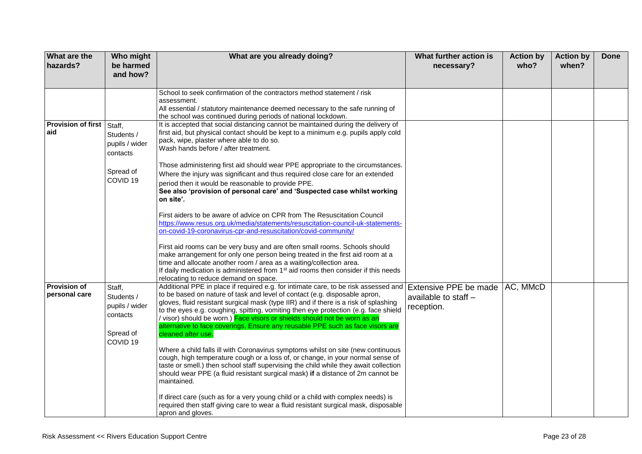| <b>What are the</b><br>hazards? | Who might<br>be harmed<br>and how? | What are you already doing?                                                                                                                                            | What further action is<br>necessary? | <b>Action by</b><br>who? | <b>Action by</b><br>when? | <b>Done</b> |
|---------------------------------|------------------------------------|------------------------------------------------------------------------------------------------------------------------------------------------------------------------|--------------------------------------|--------------------------|---------------------------|-------------|
|                                 |                                    |                                                                                                                                                                        |                                      |                          |                           |             |
|                                 |                                    | School to seek confirmation of the contractors method statement / risk                                                                                                 |                                      |                          |                           |             |
|                                 |                                    | assessment.<br>All essential / statutory maintenance deemed necessary to the safe running of                                                                           |                                      |                          |                           |             |
|                                 |                                    | the school was continued during periods of national lockdown.                                                                                                          |                                      |                          |                           |             |
| Provision of first Staff,       |                                    | It is accepted that social distancing cannot be maintained during the delivery of                                                                                      |                                      |                          |                           |             |
| aid                             | Students /                         | first aid, but physical contact should be kept to a minimum e.g. pupils apply cold                                                                                     |                                      |                          |                           |             |
|                                 | pupils / wider                     | pack, wipe, plaster where able to do so.                                                                                                                               |                                      |                          |                           |             |
|                                 | contacts                           | Wash hands before / after treatment.                                                                                                                                   |                                      |                          |                           |             |
|                                 |                                    | Those administering first aid should wear PPE appropriate to the circumstances.                                                                                        |                                      |                          |                           |             |
|                                 | Spread of                          | Where the injury was significant and thus required close care for an extended                                                                                          |                                      |                          |                           |             |
|                                 | COVID <sub>19</sub>                | period then it would be reasonable to provide PPE.                                                                                                                     |                                      |                          |                           |             |
|                                 |                                    | See also 'provision of personal care' and 'Suspected case whilst working                                                                                               |                                      |                          |                           |             |
|                                 |                                    | on site'.                                                                                                                                                              |                                      |                          |                           |             |
|                                 |                                    | First aiders to be aware of advice on CPR from The Resuscitation Council                                                                                               |                                      |                          |                           |             |
|                                 |                                    | https://www.resus.org.uk/media/statements/resuscitation-council-uk-statements-                                                                                         |                                      |                          |                           |             |
|                                 |                                    | on-covid-19-coronavirus-cpr-and-resuscitation/covid-community/                                                                                                         |                                      |                          |                           |             |
|                                 |                                    | First aid rooms can be very busy and are often small rooms. Schools should                                                                                             |                                      |                          |                           |             |
|                                 |                                    | make arrangement for only one person being treated in the first aid room at a                                                                                          |                                      |                          |                           |             |
|                                 |                                    | time and allocate another room / area as a waiting/collection area.                                                                                                    |                                      |                          |                           |             |
|                                 |                                    | If daily medication is administered from 1 <sup>st</sup> aid rooms then consider if this needs                                                                         |                                      |                          |                           |             |
| <b>Provision of</b>             | Staff,                             | relocating to reduce demand on space.<br>Additional PPE in place if required e.g. for intimate care, to be risk assessed and                                           | <b>Extensive PPE be made</b>         | AC, MMcD                 |                           |             |
| personal care                   | Students /                         | to be based on nature of task and level of contact (e.g. disposable apron,                                                                                             | available to staff -                 |                          |                           |             |
|                                 | pupils / wider                     | gloves, fluid resistant surgical mask (type IIR) and if there is a risk of splashing                                                                                   | reception.                           |                          |                           |             |
|                                 | contacts                           | to the eyes e.g. coughing, spitting, vomiting then eye protection (e.g. face shield                                                                                    |                                      |                          |                           |             |
|                                 |                                    | / visor) should be worn.) Face visors or shields should not be worn as an<br>alternative to face coverings. Ensure any reusable PPE such as face visors are            |                                      |                          |                           |             |
|                                 | Spread of                          | cleaned after use.                                                                                                                                                     |                                      |                          |                           |             |
|                                 | COVID <sub>19</sub>                |                                                                                                                                                                        |                                      |                          |                           |             |
|                                 |                                    | Where a child falls ill with Coronavirus symptoms whilst on site (new continuous                                                                                       |                                      |                          |                           |             |
|                                 |                                    | cough, high temperature cough or a loss of, or change, in your normal sense of<br>taste or smell.) then school staff supervising the child while they await collection |                                      |                          |                           |             |
|                                 |                                    | should wear PPE (a fluid resistant surgical mask) if a distance of 2m cannot be                                                                                        |                                      |                          |                           |             |
|                                 |                                    | maintained.                                                                                                                                                            |                                      |                          |                           |             |
|                                 |                                    | If direct care (such as for a very young child or a child with complex needs) is                                                                                       |                                      |                          |                           |             |
|                                 |                                    | required then staff giving care to wear a fluid resistant surgical mask, disposable                                                                                    |                                      |                          |                           |             |
|                                 |                                    | apron and gloves.                                                                                                                                                      |                                      |                          |                           |             |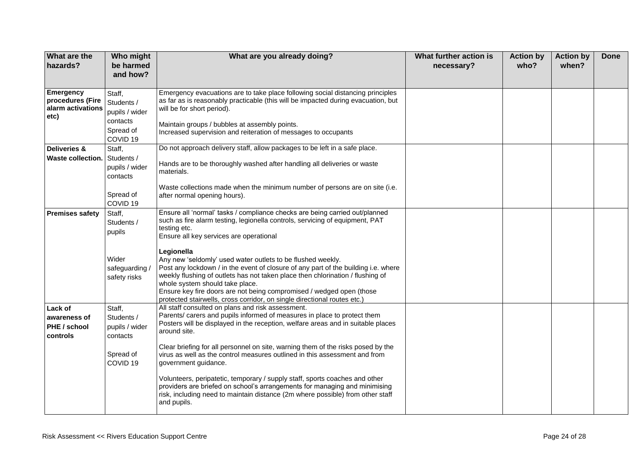| What are the<br>hazards?                                   | Who might<br>be harmed<br>and how?                                                     | What are you already doing?                                                                                                                                                                                                                                                                                                                                                                                                                                                                                                                                                                                                                                                               | What further action is<br>necessary? | <b>Action by</b><br>who? | <b>Action by</b><br>when? | <b>Done</b> |
|------------------------------------------------------------|----------------------------------------------------------------------------------------|-------------------------------------------------------------------------------------------------------------------------------------------------------------------------------------------------------------------------------------------------------------------------------------------------------------------------------------------------------------------------------------------------------------------------------------------------------------------------------------------------------------------------------------------------------------------------------------------------------------------------------------------------------------------------------------------|--------------------------------------|--------------------------|---------------------------|-------------|
| Emergency<br>procedures (Fire<br>alarm activations<br>etc) | Staff,<br>Students /<br>pupils / wider<br>contacts<br>Spread of<br>COVID <sub>19</sub> | Emergency evacuations are to take place following social distancing principles<br>as far as is reasonably practicable (this will be impacted during evacuation, but<br>will be for short period).<br>Maintain groups / bubbles at assembly points.<br>Increased supervision and reiteration of messages to occupants                                                                                                                                                                                                                                                                                                                                                                      |                                      |                          |                           |             |
| Deliveries &<br>Waste collection.                          | Staff,<br>Students /<br>pupils / wider<br>contacts<br>Spread of<br>COVID <sub>19</sub> | Do not approach delivery staff, allow packages to be left in a safe place.<br>Hands are to be thoroughly washed after handling all deliveries or waste<br>materials.<br>Waste collections made when the minimum number of persons are on site (i.e.<br>after normal opening hours).                                                                                                                                                                                                                                                                                                                                                                                                       |                                      |                          |                           |             |
| <b>Premises safety</b>                                     | Staff,<br>Students /<br>pupils<br>Wider<br>safeguarding /<br>safety risks              | Ensure all 'normal' tasks / compliance checks are being carried out/planned<br>such as fire alarm testing, legionella controls, servicing of equipment, PAT<br>testing etc.<br>Ensure all key services are operational<br>Legionella<br>Any new 'seldomly' used water outlets to be flushed weekly.<br>Post any lockdown / in the event of closure of any part of the building i.e. where<br>weekly flushing of outlets has not taken place then chlorination / flushing of<br>whole system should take place.<br>Ensure key fire doors are not being compromised / wedged open (those<br>protected stairwells, cross corridor, on single directional routes etc.)                        |                                      |                          |                           |             |
| Lack of<br>awareness of<br>PHE / school<br>controls        | Staff,<br>Students /<br>pupils / wider<br>contacts<br>Spread of<br>COVID <sub>19</sub> | All staff consulted on plans and risk assessment.<br>Parents/ carers and pupils informed of measures in place to protect them<br>Posters will be displayed in the reception, welfare areas and in suitable places<br>around site.<br>Clear briefing for all personnel on site, warning them of the risks posed by the<br>virus as well as the control measures outlined in this assessment and from<br>government guidance.<br>Volunteers, peripatetic, temporary / supply staff, sports coaches and other<br>providers are briefed on school's arrangements for managing and minimising<br>risk, including need to maintain distance (2m where possible) from other staff<br>and pupils. |                                      |                          |                           |             |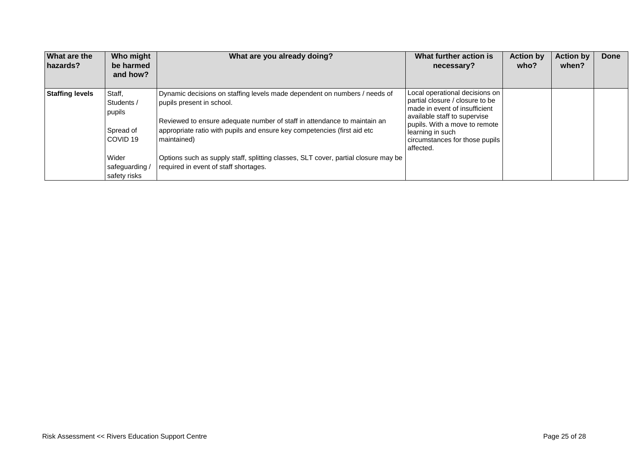| <b>What are the</b><br>hazards? | Who might<br>be harmed<br>and how?                      | What are you already doing?                                                                                                                                                                                                                                                   | What further action is<br>necessary?                                                                                                                                                                                                   | <b>Action by</b><br>who? | <b>Action by</b><br>when? | Done |
|---------------------------------|---------------------------------------------------------|-------------------------------------------------------------------------------------------------------------------------------------------------------------------------------------------------------------------------------------------------------------------------------|----------------------------------------------------------------------------------------------------------------------------------------------------------------------------------------------------------------------------------------|--------------------------|---------------------------|------|
| <b>Staffing levels</b>          | Staff,<br>Students /<br>pupils<br>Spread of<br>COVID 19 | Dynamic decisions on staffing levels made dependent on numbers / needs of<br>pupils present in school.<br>Reviewed to ensure adequate number of staff in attendance to maintain an<br>appropriate ratio with pupils and ensure key competencies (first aid etc<br>maintained) | Local operational decisions on<br>partial closure / closure to be<br>made in event of insufficient<br>available staff to supervise<br>pupils. With a move to remote<br>learning in such<br>circumstances for those pupils<br>affected. |                          |                           |      |
|                                 | Wider<br>safeguarding /<br>safety risks                 | Options such as supply staff, splitting classes, SLT cover, partial closure may be<br>required in event of staff shortages.                                                                                                                                                   |                                                                                                                                                                                                                                        |                          |                           |      |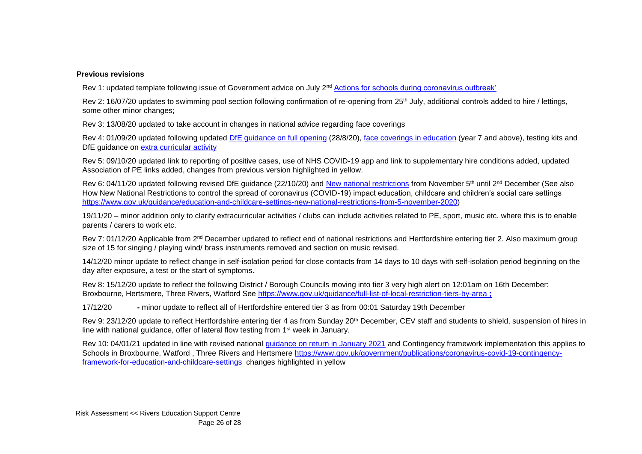## **Previous revisions**

Rev 1: updated template following issue of Government advice on July 2<sup>nd</sup> [Actions for schools during coronavirus outbreak'](https://www.gov.uk/government/publications/actions-for-schools-during-the-coronavirus-outbreak)

Rev 2: 16/07/20 updates to swimming pool section following confirmation of re-opening from 25<sup>th</sup> July, additional controls added to hire / lettings, some other minor changes;

Rev 3: 13/08/20 updated to take account in changes in national advice regarding face coverings

Rev 4: 01/09/20 updated following updated [DfE guidance on full opening](https://www.gov.uk/government/publications/actions-for-schools-during-the-coronavirus-outbreak/guidance-for-full-opening-schools) (28/8/20), [face coverings in education](https://www.gov.uk/government/publications/face-coverings-in-education) (year 7 and above), testing kits and DfE guidance on [extra curricular activity](https://www.gov.uk/government/publications/protective-measures-for-holiday-or-after-school-clubs-and-other-out-of-school-settings-for-children-during-the-coronavirus-covid-19-outbreak/protective-measures-for-out-of-school-settings-during-the-coronavirus-covid-19-outbreak)

Rev 5: 09/10/20 updated link to reporting of positive cases, use of NHS COVID-19 app and link to supplementary hire conditions added, updated Association of PE links added, changes from previous version highlighted in yellow.

Rev 6: 04/11/20 updated following revised DfE quidance (22/10/20) and [New national restrictions](https://www.gov.uk/guidance/new-national-restrictions-from-5-november) from November 5<sup>th</sup> until 2<sup>nd</sup> December (See also How New National Restrictions to control the spread of coronavirus (COVID-19) impact education, childcare and children's social care settings [https://www.gov.uk/guidance/education-and-childcare-settings-new-national-restrictions-from-5-november-2020\)](https://www.gov.uk/guidance/education-and-childcare-settings-new-national-restrictions-from-5-november-2020)

19/11/20 – minor addition only to clarify extracurricular activities / clubs can include activities related to PE, sport, music etc. where this is to enable parents / carers to work etc.

Rev 7: 01/12/20 Applicable from 2<sup>nd</sup> December updated to reflect end of national restrictions and Hertfordshire entering tier 2. Also maximum group size of 15 for singing / playing wind/ brass instruments removed and section on music revised.

14/12/20 minor update to reflect change in self-isolation period for close contacts from 14 days to 10 days with self-isolation period beginning on the day after exposure, a test or the start of symptoms.

Rev 8: 15/12/20 update to reflect the following District / Borough Councils moving into tier 3 very high alert on 12:01am on 16th December: Broxbourne, Hertsmere, Three Rivers, Watford See<https://www.gov.uk/guidance/full-list-of-local-restriction-tiers-by-area> **;** 

17/12/20 **-** minor update to reflect all of Hertfordshire entered tier 3 as from 00:01 Saturday 19th December

Rev 9: 23/12/20 update to reflect Hertfordshire entering tier 4 as from Sunday 20th December, CEV staff and students to shield, suspension of hires in line with national guidance, offer of lateral flow testing from 1st week in January.

Rev 10: 04/01/21 updated in line with revised national [guidance on return in January 2021](https://www.gov.uk/government/publications/schools-and-childcare-settings-return-in-january-2021/schools-and-childcare-settings-return-in-january-2021) and Contingency framework implementation this applies to Schools in Broxbourne, Watford , Three Rivers and Hertsmere [https://www.gov.uk/government/publications/coronavirus-covid-19-contingency](https://www.gov.uk/government/publications/coronavirus-covid-19-contingency-framework-for-education-and-childcare-settings)[framework-for-education-and-childcare-settings](https://www.gov.uk/government/publications/coronavirus-covid-19-contingency-framework-for-education-and-childcare-settings) changes highlighted in yellow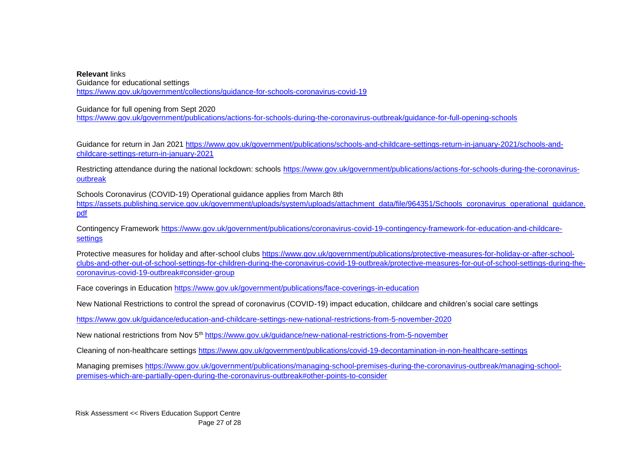**Relevant** links Guidance for educational settings <https://www.gov.uk/government/collections/guidance-for-schools-coronavirus-covid-19>

Guidance for full opening from Sept 2020

<https://www.gov.uk/government/publications/actions-for-schools-during-the-coronavirus-outbreak/guidance-for-full-opening-schools>

Guidance for return in Jan 2021 [https://www.gov.uk/government/publications/schools-and-childcare-settings-return-in-january-2021/schools-and](https://www.gov.uk/government/publications/schools-and-childcare-settings-return-in-january-2021/schools-and-childcare-settings-return-in-january-2021)[childcare-settings-return-in-january-2021](https://www.gov.uk/government/publications/schools-and-childcare-settings-return-in-january-2021/schools-and-childcare-settings-return-in-january-2021)

Restricting attendance during the national lockdown: schools [https://www.gov.uk/government/publications/actions-for-schools-during-the-coronavirus](https://www.gov.uk/government/publications/actions-for-schools-during-the-coronavirus-outbreak)[outbreak](https://www.gov.uk/government/publications/actions-for-schools-during-the-coronavirus-outbreak)

Schools Coronavirus (COVID-19) Operational guidance applies from March 8th [https://assets.publishing.service.gov.uk/government/uploads/system/uploads/attachment\\_data/file/964351/Schools\\_coronavirus\\_operational\\_guidance.](https://assets.publishing.service.gov.uk/government/uploads/system/uploads/attachment_data/file/964351/Schools_coronavirus_operational_guidance.pdf) [pdf](https://assets.publishing.service.gov.uk/government/uploads/system/uploads/attachment_data/file/964351/Schools_coronavirus_operational_guidance.pdf)

Contingency Framework [https://www.gov.uk/government/publications/coronavirus-covid-19-contingency-framework-for-education-and-childcare](https://www.gov.uk/government/publications/coronavirus-covid-19-contingency-framework-for-education-and-childcare-settings)**[settings](https://www.gov.uk/government/publications/coronavirus-covid-19-contingency-framework-for-education-and-childcare-settings)** 

Protective measures for holiday and after-school clubs [https://www.gov.uk/government/publications/protective-measures-for-holiday-or-after-school](https://www.gov.uk/government/publications/protective-measures-for-holiday-or-after-school-clubs-and-other-out-of-school-settings-for-children-during-the-coronavirus-covid-19-outbreak/protective-measures-for-out-of-school-settings-during-the-coronavirus-covid-19-outbreak#consider-group)[clubs-and-other-out-of-school-settings-for-children-during-the-coronavirus-covid-19-outbreak/protective-measures-for-out-of-school-settings-during-the](https://www.gov.uk/government/publications/protective-measures-for-holiday-or-after-school-clubs-and-other-out-of-school-settings-for-children-during-the-coronavirus-covid-19-outbreak/protective-measures-for-out-of-school-settings-during-the-coronavirus-covid-19-outbreak#consider-group)[coronavirus-covid-19-outbreak#consider-group](https://www.gov.uk/government/publications/protective-measures-for-holiday-or-after-school-clubs-and-other-out-of-school-settings-for-children-during-the-coronavirus-covid-19-outbreak/protective-measures-for-out-of-school-settings-during-the-coronavirus-covid-19-outbreak#consider-group)

Face coverings in Education<https://www.gov.uk/government/publications/face-coverings-in-education>

New National Restrictions to control the spread of coronavirus (COVID-19) impact education, childcare and children's social care settings

<https://www.gov.uk/guidance/education-and-childcare-settings-new-national-restrictions-from-5-november-2020>

New national restrictions from Nov 5<sup>th</sup> <https://www.gov.uk/guidance/new-national-restrictions-from-5-november>

Cleaning of non-healthcare settings<https://www.gov.uk/government/publications/covid-19-decontamination-in-non-healthcare-settings>

Managing premises [https://www.gov.uk/government/publications/managing-school-premises-during-the-coronavirus-outbreak/managing-school](https://www.gov.uk/government/publications/managing-school-premises-during-the-coronavirus-outbreak/managing-school-premises-which-are-partially-open-during-the-coronavirus-outbreak#other-points-to-consider)[premises-which-are-partially-open-during-the-coronavirus-outbreak#other-points-to-consider](https://www.gov.uk/government/publications/managing-school-premises-during-the-coronavirus-outbreak/managing-school-premises-which-are-partially-open-during-the-coronavirus-outbreak#other-points-to-consider)